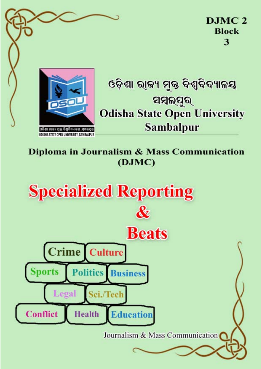

ODISHA STATE OPEN UNIVERSITY, SAMBALPUR

ଓଡ଼ିଶା ରାଜ୍ୟ ମୃକ୍ତ ବିଶ୍ୱବିଦ୍ୟାଳୟ ସମ୍ବଲ୍ପୁର୍ **Odisha State Open University** Sambalpur

DJMC<sub>2</sub>

**Block** 

3

## Diploma in Journalism & Mass Communication (DJMC)

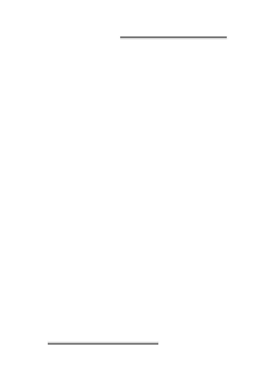<u> 1989 - Johann Barn, mars ann an t-Amhain ann an t-Amhain an t-Amhain an t-Amhain an t-Amhain ann an t-Amhain a</u>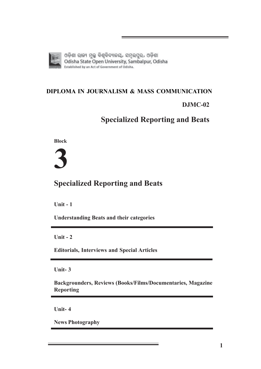

### **DIPLOMA IN JOURNALISM & MASS COMMUNICATION**

### **DJMC-02**

## **Specialized Reporting and Beats**

**Block**

**3**

## **Specialized Reporting and Beats**

**Unit - 1**

**Understanding Beats and their categories**

**Unit - 2**

**Editorials, Interviews and Special Articles**

**Unit- 3**

**Backgrounders, Reviews (Books/Films/Documentaries, Magazine Reporting**

**Unit- 4**

**News Photography**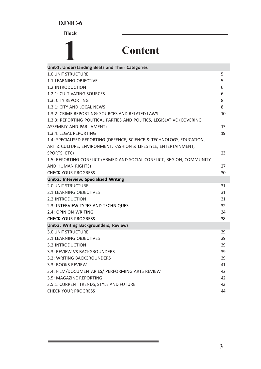### **DJMC-6**

**Block**

# **1 Content**

| Unit-1: Understanding Beats and Their Categories                       |    |  |  |  |
|------------------------------------------------------------------------|----|--|--|--|
| <b>1.0 UNIT STRUCTURE</b>                                              | 5  |  |  |  |
| 1.1 LEARNING OBJECTIVE                                                 |    |  |  |  |
| <b>1.2 INTRODUCTION</b>                                                |    |  |  |  |
| 1.2.1: CULTIVATING SOURCES                                             |    |  |  |  |
| 1.3: CITY REPORTING                                                    |    |  |  |  |
| 1.3.1: CITY AND LOCAL NEWS                                             |    |  |  |  |
| 1.3.2: CRIME REPORTING: SOURCES AND RELATED LAWS                       | 10 |  |  |  |
| 1.3.3: REPORTING POLITICAL PARTIES AND POLITICS, LEGISLATIVE (COVERING |    |  |  |  |
| ASSEMBLY AND PARLIAMENT)                                               | 13 |  |  |  |
| 1.3.4: LEGAL REPORTING                                                 | 19 |  |  |  |
| 1.4: SPECIALISED REPORTING (DEFENCE, SCIENCE & TECHNOLOGY, EDUCATION,  |    |  |  |  |
| ART & CULTURE, ENVIRONMENT, FASHION & LIFESTYLE, ENTERTAINMENT,        |    |  |  |  |
| SPORTS, ETC)                                                           | 23 |  |  |  |
| 1.5: REPORTING CONFLICT (ARMED AND SOCIAL CONFLICT, REGION, COMMUNITY  |    |  |  |  |
| AND HUMAN RIGHTS)                                                      | 27 |  |  |  |
| <b>CHECK YOUR PROGRESS</b>                                             | 30 |  |  |  |
| Unit-2: Interview, Specialized Writing                                 |    |  |  |  |
| <b>2.0 UNIT STRUCTURE</b>                                              | 31 |  |  |  |
| 2.1 LEARNING OBJECTIVES                                                | 31 |  |  |  |
| 2.2 INTRODUCTION                                                       | 31 |  |  |  |
| 2.3: INTERVIEW TYPES AND TECHNIQUES                                    | 32 |  |  |  |
| 2.4: OPINION WRITING                                                   |    |  |  |  |
| <b>CHECK YOUR PROGRESS</b>                                             | 38 |  |  |  |
| <b>Unit-3: Writing Backgrounders, Reviews</b>                          |    |  |  |  |
| <b>3.0 UNIT STRUCTURE</b>                                              | 39 |  |  |  |
| 3.1 LEARNING OBJECTIVES                                                | 39 |  |  |  |
| <b>3.2 INTRODUCTION</b>                                                | 39 |  |  |  |
| 3.3: REVIEW VS BACKGROUNDERS                                           | 39 |  |  |  |
| 3.2: WRITING BACKGROUNDERS                                             | 39 |  |  |  |
| 3.3: BOOKS REVIEW                                                      | 41 |  |  |  |
| 3.4: FILM/DOCUMENTARIES/ PERFORMING ARTS REVIEW                        | 42 |  |  |  |
| 3.5: MAGAZINE REPORTING                                                | 42 |  |  |  |
| 3.5.1: CURRENT TRENDS, STYLE AND FUTURE                                | 43 |  |  |  |
| <b>CHECK YOUR PROGRESS</b>                                             | 44 |  |  |  |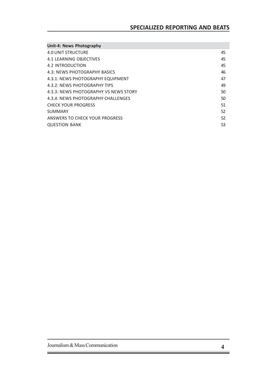| Unit-4: News Photography              |    |
|---------------------------------------|----|
| <b>4.0 UNIT STRUCTURE</b>             | 45 |
| 4.1 LEARNING OBJECTIVES               | 45 |
| 4.2 INTRODUCTION                      | 45 |
| 4.3: NEWS PHOTOGRAPHY BASICS          | 46 |
| 4.3.1: NEWS PHOTOGRAPHY EQUIPMENT     | 47 |
| 4.3.2: NEWS PHOTOGRAPHY TIPS          | 49 |
| 4.3.3: NEWS PHOTOGRAPHY VS NEWS STORY | 50 |
| 4.3.4: NEWS PHOTOGRAPHY CHALLENGES    | 50 |
| <b>CHECK YOUR PROGRESS</b>            | 51 |
| <b>SUMMARY</b>                        | 52 |
| ANSWERS TO CHECK YOUR PROGRESS        | 52 |
| <b>QUESTION BANK</b>                  | 53 |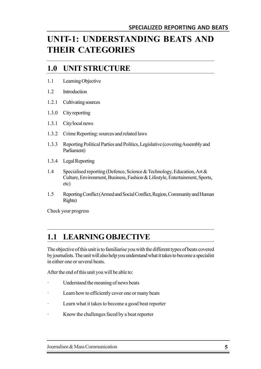## **UNIT-1: UNDERSTANDING BEATS AND THEIR CATEGORIES**

## **1.0 UNIT STRUCTURE**

- 1.1 Learning Objective
- 1.2 Introduction
- 1.2.1 Cultivating sources
- 1.3.0 City reporting
- 1.3.1 City/local news
- 1.3.2 Crime Reporting: sources and related laws
- 1.3.3 Reporting Political Parties and Politics, Legislative (covering Assembly and Parliament)
- 1.3.4 Legal Reporting
- 1.4 Specialised reporting (Defence, Science & Technology, Education, Art & Culture, Environment, Business, Fashion & Lifestyle, Entertainment, Sports, etc)
- 1.5 Reporting Conflict (Armed and Social Conflict, Region, Community and Human Rights)

Check your progress

## **1.1 LEARNING OBJECTIVE**

The objective of this unit is to familiarise you with the different types of beats covered by journalists. The unit will also help you understand what it takes to become a specialist in either one or several beats.

After the end of this unit you will be able to:

- Understand the meaning of news beats
- Learn how to efficiently cover one or many beats
- · Learn what it takes to become a good beat reporter
- Know the challenges faced by a beat reporter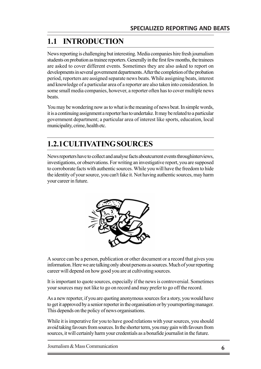## **1.1 INTRODUCTION**

News reporting is challenging but interesting. Media companies hire fresh journalism students on probation as trainee reporters. Generally in the first few months, the trainees are asked to cover different events. Sometimes they are also asked to report on developments in several government departments. After the completion of the probation period, reporters are assigned separate news beats. While assigning beats, interest and knowledge of a particular area of a reporter are also taken into consideration. In some small media companies, however, a reporter often has to cover multiple news beats.

You may be wondering now as to what is the meaning of news beat. In simple words, it is a continuing assignment a reporter has to undertake. It may be related to a particular government department; a particular area of interest like sports, education, local municipality, crime, health etc.

## **1.2.1CULTIVATING SOURCES**

News reporters have to collect and analyse facts aboutcurrent events throughinterviews, investigations, or observations. For writing an investigative report, you are supposed to corroborate facts with authentic sources. While you will have the freedom to hide the identity of your source, you can't fake it. Not having authentic sources, may harm your career in future.



A source can be a person, publication or other document or a record that gives you information. Here we are talking only about persons as sources. Much of your reporting career will depend on how good you are at cultivating sources.

It is important to quote sources, especially if the news is controversial. Sometimes your sources may not like to go on record and may prefer to go off the record.

As a new reporter, if you are quoting anonymous sources for a story, you would have to get it approved by a senior reporter in the organisation or by yourreporting manager. This depends on the policy of news organisations.

While it is imperative for you to have good relations with your sources, you should avoid taking favours from sources. In the shorter term, you may gain with favours from sources, it will certainly harm your credentials as a bonafide journalist in the future.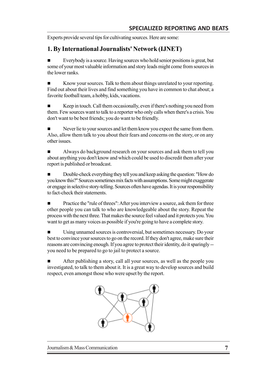Experts provide several tips for cultivating sources. Here are some:

### **1. By International Journalists' Network (IJNET)**

 Everybody is a source. Having sources who hold senior positions is great, but some of your most valuable information and story leads might come from sources in the lower ranks.

■ Know your sources. Talk to them about things unrelated to your reporting. Find out about their lives and find something you have in common to chat about; a favorite football team, a hobby, kids, vacations.

 Keep in touch. Call them occasionally, even if there's nothing you need from them. Few sources want to talk to a reporter who only calls when there's a crisis. You don't want to be best friends; you do want to be friendly.

 Never lie to your sources and let them know you expect the same from them. Also, allow them talk to you about their fears and concerns on the story, or on any other issues.

 Always do background research on your sources and ask them to tell you about anything you don't know and which could be used to discredit them after your report is published or broadcast.

 Double-check everything they tell you and keep asking the question: "How do you know this?" Sources sometimes mix facts with assumptions. Some might exaggerate or engage in selective story-telling. Sources often have agendas. It is your responsibility to fact-check their statements.

 Practice the "rule of threes": After you interview a source, ask them for three other people you can talk to who are knowledgeable about the story. Repeat the process with the next three. That makes the source feel valued and it protects you. You want to get as many voices as possible if you're going to have a complete story.

 Using unnamed sources is controversial, but sometimes necessary. Do your best to convince your sources to go on the record. If they don't agree, make sure their reasons are convincing enough. If you agree to protect their identity, do it sparingly - you need to be prepared to go to jail to protect a source.

 After publishing a story, call all your sources, as well as the people you investigated, to talk to them about it. It is a great way to develop sources and build respect, even amongst those who were upset by the report.

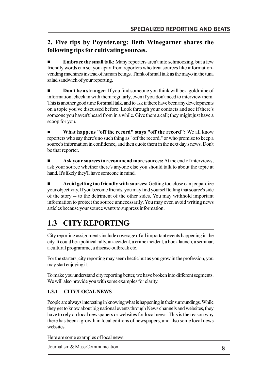### **2. Five tips by Poynter.org: Beth Winegarner shares the following tips for cultivating sources.**

 **Embrace the small talk:** Many reporters aren't into schmoozing, but a few friendly words can set you apart from reporters who treat sources like informationvending machines instead of human beings. Think of small talk as the mayo in the tuna salad sandwich of your reporting.

 **Don't be a stranger:** If you find someone you think will be a goldmine of information, check in with them regularly, even if you don't need to interview them. This is another good time for small talk, and to ask if there have been any developments on a topic you've discussed before. Look through your contacts and see if there's someone you haven't heard from in a while. Give them a call; they might just have a scoop for you.

 **What happens "off the record" stays "off the record":** We all know reporters who say there's no such thing as "off the record," or who promise to keep a source's information in confidence, and then quote them in the next day's news. Don't be that reporter.

 **Ask your sources to recommend more sources:** At the end of interviews, ask your source whether there's anyone else you should talk to about the topic at hand. It's likely they'll have someone in mind.

 **Avoid getting too friendly with sources:** Getting too close can jeopardize your objectivity. If you become friends, you may find yourself telling that source's side of the story -- to the detriment of the other sides. You may withhold important information to protect the source unnecessarily. You may even avoid writing news articles because your source wants to suppress information.

## **1.3 CITY REPORTING**

City reporting assignments include coverage of all important events happening in the city. It could be a political rally, an accident, a crime incident, a book launch, a seminar, a cultural programme, a disease outbreak etc.

For the starters, city reporting may seem hectic but as you grow in the profession, you may start enjoying it.

To make you understand city reporting better, we have broken into different segments. We will also provide you with some examples for clarity.

### **1.3.1 CITY/LOCAL NEWS**

People are always interesting in knowing what is happening in their surroundings. While they get to know about big national events through News channels and websites, they have to rely on local newspapers or websites for local news. This is the reason why there has been a growth in local editions of newspapers, and also some local news websites.

Here are some examples of local news: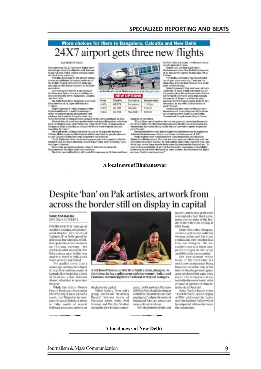for New Bellri at 6.05<br>am, It will reach the ray donal capital at 8.10<br>am. Hight out of Belver Itis, the first flight out of Bly<br>abaneswar was a New Delhi flight operated by full-service carrier Vistara that left at

Two IndiGo aircraft are being parked at

the airport since yesterday. These are the<br>planes that leave for Calcutta and New Delhi

planes that leave for Calcutta and New Delhi<br>early in the morning<br>math and that as of now, Airports<br>Mahalimgam said that as of now, Airports<br>Martherity of India would not charge the air-<br>line parking fee. He said some more

gard," he said.<br>Merrioring that other airlines too have

More choices for fliers to Bangalore. Calcutta and New Delhi airport gets three new flights

#### **SANDEEPDWIVEDV**

Bhubaneswar, Oct. 2: Three new flights have<br>started operating from Biju Patnaik International Airport, which started working round the clock since yesterday.<br>With this development, the airport author

ties expect different airlines to make use of<br>the facility to park their aircraft at the air-<br>port and provide better connectivity to differ-

port and provide better connectivity to different<br>fact incidens the centrer hidded is operating all<br>the three new dights that are providing con-<br>nextions from the city to Bangaloro, Calcutta<br>and New Delhi.<br>The night filght

Bhubaneswar at 11.50pm and deport at 11.50pm

Airport director R. Mahalingam said the

Airport directive B. Mahalingam said the  $\frac{10000}{10000} = 68-193$ <br>that would benefit travellers winting to<br>reach Bluebarawar late at right after completing a disc work in llarge<br>lers as the comparatively cheeper for the

3.32em. Mahalingam said the flight would be beneficial for people who want to visit Calcanta on basiness ritps and return the same day. That's Calcanta of the same day of the same of an anti-acting passengers who regularly the airport director.<br>Trains take around seven bours to travel between Calcuna and<br>Bhubanewar The flight values only one hour.<br>The third new haddles flight will reach Bhubanewar at 12.00 an and low



| Airline | Flight No.    | Destination | Departure time |
|---------|---------------|-------------|----------------|
| IndiGo  | GE-678        | Bangalore   | 11.50pm        |
| IndiGo  | $65 - 193$    | Calculta    | 5.55am         |
| IndiGo  | <b>BE-104</b> | Now Delhi   | 6.05am         |

Nown interest in starting more fights from<br>the city, he said new flights to New DeBit,<br>the city, he said new flights to New DeBit,<br>Chennai and Hangalore are likely to be an-Chemical and Hangalare are likely to be an-<br>The airlines operating from the dity are presently assessing the passen-<br>or to the distribution different distribution from Richards and the convenient of prior to the material p

ft-ti'ern.

- gers," he said.<br>The utrport director said direct flights from Bhuhaneswar to<br>Asian destinations were likely to start from the first aparter of
- The airport director said direct flights from Bhufaneswar to South East<br>Asian destinations were likely to start from the fliret quarter of 2017. "Some airlines have evined interest in starting direct international flights

#### **A local news of Bhubaneswar**

## Despite 'ban' on Pak artistes, artwork from across the border still on display in capital

#### **VANDANA KALRA** NEWLOCK HI OCTORER 2

PORTRAVING THE "vidicule of war from a neutral perspective", artist Khadim Ali's works at 'Latitude 28' in Delhi appeal for reflection. But when his exhibition opened to art connoisseurs on Thursday evening, the Arctualian artist reason went The **Rakistani passport holder was** unable to travel to India as his visa is yet to be sanctioned.

"He applied more than a monthago, we hope he still gets it," says Bhavna Kakar, owner of Latitude 28, who also has a show of Pakistani action Wasseen Ahmed scheduled to open later this year

While the Indian Motion **Picture Producers Association** (IMPPA) might have passed a resolution Thursday to term porarily ban all Pakistani artists in India, works of several Pakistani artists are currently on



Astill from Pakistani artiste Bani Abidi's video, Mongoes. In the video, she has a split screen with two women, indian and<br>Pakistani, reminiscing their childhood as they eat mangoes.

display in the capital While Gallery Threshold's<br>group exhibition "Revisiting Beauty" features works of Pakistani artists Aisha Abid. Hussain and Wardha Shabbir alongside their Indian counter-

parts, the Kiran Nadar Museum. (RNN) of Artic Moida is bosting an exhibition, "Enactments and each passing day', where the works of Indian and Pakistani artists have more political overtones. Working between Berlin and

Karachi, and having spent some years in India, Bani Abidi juxtanoses the two sides of the box der in her videos on display at KNN, Noida.

Inher first video, Mangoes, she has a split screen with two women, Indian and Pakistani. reminiscing their childhood as they eat mangoes. The encounter turns sour when comparisons begin on the range available in the two countries.

Her two-channel video. News, on the other hand, is a mocknews programme being broadcast on either side of the Indo-Paldronler, presenting sepauto versions of the same news. event. The comparison is extended to the role of music in the creation of patriotic sentiment, in the video 'Anthem'.

Artist Rashid Rana's video "Ten Differences", also on display at RNN, addresses the rivalry over the Kashmir Valley which has impacted relationshetween. the two nations.

#### **A local news of New Delhi**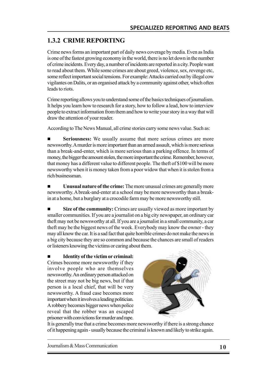## **1.3.2 CRIME REPORTING**

Crime news forms an important part of daily news coverage by media. Even as India is one of the fastest growing economy in the world, there is no let down in the number of crime incidents. Every day, a number of incidents are reported in a city. People want to read about them. While some crimes are about greed, violence, sex, revenge etc, some reflect important social tensions. For example: Attacks carried out by illegal cow vigilantes on Dalits, or an organised attack by a community against other, which often leads to riots.

Crime reporting allows you to understand some of the basics techniques of journalism. It helps you learn how to research for a story, how to follow a lead, how to interview people to extract information from them and how to write your story in a way that will draw the attention of your reader.

According to The News Manual, all crime stories carry some news value. Such as:

 **Seriousness:** We usually assume that more serious crimes are more newsworthy. A murder is more important than an armed assault, which is more serious than a break-and-enter, which is more serious than a parking offence. In terms of money, the bigger the amount stolen, the more important the crime. Remember, however, that money has a different value to different people. The theft of \$100 will be more newsworthy when it is money taken from a poor widow that when it is stolen from a rich businessman.

 **Unusual nature of the crime:** The more unusual crimes are generally more newsworthy. A break-and-enter at a school may be more newsworthy than a breakin at a home, but a burglary at a crocodile farm may be more newsworthy still.

 **Size of the community:** Crimes are usually viewed as more important by smaller communities. If you are a journalist on a big city newspaper, an ordinary car theft may not be newsworthy at all. If you are a journalist in a small community, a car theft may be the biggest news of the week. Everybody may know the owner - they may all know the car. It is a sad fact that quite horrible crimes do not make the news in a big city because they are so common and because the chances are small of readers or listeners knowing the victims or caring about them.

 **Identity of the victim or criminal:** Crimes become more newsworthy if they involve people who are themselves newsworthy. An ordinary person attacked on the street may not be big news, but if that person is a local chief, that will be very newsworthy. A fraud case becomes more important when it involves a leading politician. A robbery becomes bigger news when police reveal that the robber was an escaped prisoner with convictions for murder and rape.



It is generally true that a crime becomes more newsworthy if there is a strong chance of it happening again - usually because the criminal is known and likely to strike again.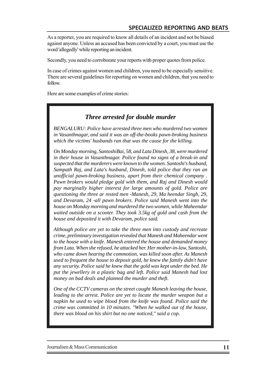As a reporter, you are required to know all details of an incident and not be biased against anyone. Unless an accused has been convicted by a court, you must use the word 'allegedly' while reporting an incident.

Secondly, you need to corroborate your reports with proper quotes from police.

In case of crimes against women and children, you need to be especially sensitive. There are several guidelines for reporting on women and children, that you need to follow.

Here are some examples of crime stories:

### *Three arrested for double murder*

*BENGALURU: Police have arrested three men who murdered two women in Vasanthnagar, and said it was an off-the-books pawn-broking business which the victims' husbands ran that was the cause for the killing.*

*On Monday morning, SantoshiBai, 58, and Lata Dinesh, 38, were murdered in their house in Vasanthnagar. Police found no signs of a break-in and suspected that the murderers were known to the women. Santoshi's husband, Sampath Raj, and Lata's husband, Dinesh, told police that they ran an unofficial pawn-broking business, apart from their chemical company . Pawn brokers would pledge gold with them, and Raj and Dinesh would pay marginally higher interest for large amounts of gold. Police are questioning the three ar rested men -Manesh, 29, Ma heendar Singh, 29, and Devaram, 24 -all pawn brokers. Police said Manesh went into the house on Monday morning and murdered the two women, while Maheendar waited outside on a scooter. They took 3.5kg of gold and cash from the house and deposited it with Devaram, police said.*

*Although police are yet to take the three men into custody and recreate crime, preliminary investigation revealed that Manesh and Maheendar went to the house with a knife. Manesh entered the house and demanded money from Lata. When she refused, he attacked her. Her mother-in-law, Santoshi, who came down hearing the commotion, was killed soon after. As Manesh used to frequent the house to deposit gold, he knew the family didn't have any security. Police said he knew that the gold was kept under the bed. He put the jewellery in a plastic bag and left. Police said Manesh had lost money on bad deals and planned the murder and theft.*

*One of the CCTV cameras on the street caught Manesh leaving the house, leading to the arrest. Police are yet to locate the murder weapon but a napkin he used to wipe blood from the knife was found. Police said the crime was committed in 10 minutes. "When he walked out of the house, there was blood on his shirt but no one noticed," said a cop.*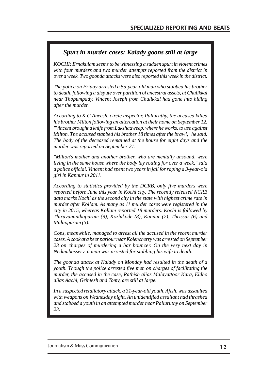### *Spurt in murder cases; Kalady goons still at large*

*KOCHI: Ernakulam seems to be witnessing a sudden spurt in violent crimes with four murders and two murder attempts reported from the district in over a week. Two goonda attacks were also reported this week in the district.*

*The police on Friday arrested a 55-year-old man who stabbed his brother to death, following a dispute over partition of ancestral assets, at Chulikkal near Thopumpady. Vincent Joseph from Chulikkal had gone into hiding after the murder.*

*According to K G Aneesh, circle inspector, Palluruthy, the accused killed his brother Milton following an altercation at their home on September 12. "Vincent brought a knife from Lakshadweep, where he works, to use against Milton. The accused stabbed his brother 18 times after the brawl," he said. The body of the deceased remained at the house for eight days and the murder was reported on September 21.*

*"Milton's mother and another brother, who are mentally unsound, were living in the same house where the body lay rotting for over a week," said a police official. Vincent had spent two years in jail for raping a 3-year-old girl in Kannur in 2011.*

*According to statistics provided by the DCRB, only five murders were reported before June this year in Kochi city. The recently released NCRB data marks Kochi as the second city in the state with highest crime rate in murder after Kollam. As many as 11 murder cases were registered in the city in 2015, whereas Kollam reported 18 murders. Kochi is followed by Thiruvananthapuram (9), Kozhikode (8), Kannur (7), Thrissur (6) and Malappuram (5).*

*Cops, meanwhile, managed to arrest all the accused in the recent murder cases. A cook at a beer parlour near Kolencherry was arrested on September 23 on charges of murdering a bar bouncer. On the very next day in Nedumbassery, a man was arrested for stabbing his wife to death.*

*The goonda attack at Kalady on Monday had resulted in the death of a youth. Though the police arrested five men on charges of facilitating the murder, the accused in the case, Rathish alias Malayattoor Kara, Eldho alias Aachi, Grintesh and Tomy, are still at large.*

*In a suspected retaliatory attack, a 31-year-old youth, Ajish, was assaulted with weapons on Wednesday night. An unidentified assailant had thrashed and stabbed a youth in an attempted murder near Palluruthy on September 23.*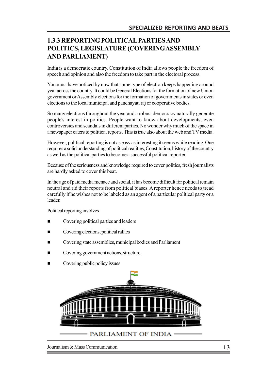### **1.3.3 REPORTING POLITICAL PARTIES AND POLITICS, LEGISLATURE (COVERING ASSEMBLY AND PARLIAMENT)**

India is a democratic country. Constitution of India allows people the freedom of speech and opinion and also the freedom to take part in the electoral process.

You must have noticed by now that some type of election keeps happening around year across the country. It could be General Elections for the formation of new Union government or Assembly elections for the formation of governments in states or even elections to the local municipal and panchayati raj or cooperative bodies.

So many elections throughout the year and a robust democracy naturally generate people's interest in politics. People want to know about developments, even controversies and scandals in different parties. No wonder why much of the space in a newspaper caters to political reports. This is true also about the web and TV media.

However, political reporting is not as easy as interesting it seems while reading. One requires a solid understanding of political realities, Constitution, history of the country as well as the political parties to become a successful political reporter.

Because of the seriousness and knowledge required to cover politics, fresh journalists are hardly asked to cover this beat.

In the age of paid media menace and social, it has become difficult for political remain neutral and rid their reports from political biases. A reporter hence needs to tread carefully if he wishes not to be labeled as an agent of a particular political party or a leader.

Political reporting involves

- Covering political parties and leaders
- Covering elections, political rallies
- Covering state assemblies, municipal bodies and Parliament
- Covering government actions, structure
- Covering public policy issues



PARLIAMENT OF INDIA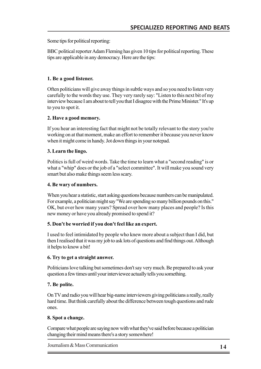Some tips for political reporting:

BBC political reporter Adam Fleming has given 10 tips for political reporting. These tips are applicable in any democracy. Here are the tips:

### **1. Be a good listener.**

Often politicians will give away things in subtle ways and so you need to listen very carefully to the words they use. They very rarely say: "Listen to this next bit of my interview because I am about to tell you that I disagree with the Prime Minister." It's up to you to spot it.

#### **2. Have a good memory.**

If you hear an interesting fact that might not be totally relevant to the story you're working on at that moment, make an effort to remember it because you never know when it might come in handy. Jot down things in your notepad.

#### **3. Learn the lingo.**

Politics is full of weird words. Take the time to learn what a "second reading" is or what a "whip" does or the job of a "select committee". It will make you sound very smart but also make things seem less scary.

#### **4. Be wary of numbers.**

When you hear a statistic, start asking questions because numbers can be manipulated. For example, a politician might say "We are spending so many billion pounds on this." OK, but over how many years? Spread over how many places and people? Is this new money or have you already promised to spend it?

### **5. Don't be worried if you don't feel like an expert.**

I used to feel intimidated by people who knew more about a subject than I did, but then I realised that it was my job to ask lots of questions and find things out. Although it helps to know a bit!

#### **6. Try to get a straight answer.**

Politicians love talking but sometimes don't say very much. Be prepared to ask your question a few times until your interviewee actually tells you something.

### **7. Be polite.**

On TV and radio you will hear big-name interviewers giving politicians a really, really hard time. But think carefully about the difference between tough questions and rude ones.

#### **8. Spot a change.**

Compare what people are saying now with what they've said before because a politician changing their mind means there's a story somewhere!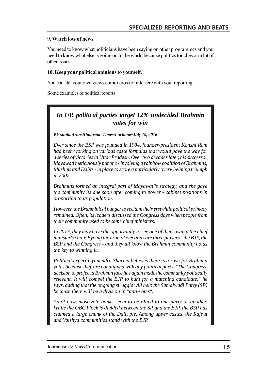#### **9. Watch lots of news.**

You need to know what politicians have been saying on other programmes and you need to know what else is going on in the world because politics touches on a lot of other issues.

#### **10. Keep your political opinions to yourself.**

You can't let your own views come across or interfere with your reporting.

Some examples of political reports:

### *In UP, political parties target 12% undecided Brahmin votes for win*

*BY sunitaAron/Hindustan Times/Lucknow/July 19, 2016*

*Ever since the BSP was founded in 1984, founder-president Kanshi Ram had been working on various caste formulas that would pave the way for a series of victories in Uttar Pradesh. Over two decades later, his successor Mayawati meticulously put one - involving a rainbow coalition of Brahmins, Muslims and Dalits - in place to score a particularly overwhelming triumph in 2007.*

*Brahmins formed an integral part of Mayawati's strategy, and she gave the community its due soon after coming to power - cabinet positions in proportion to its population.*

*However, the Brahminical hunger to reclaim their erstwhile political primacy remained. Often, its leaders discussed the Congress days when people from their community used to become chief ministers.*

*In 2017, they may have the opportunity to see one of their own in the chief minister's chair. Eyeing the crucial elections are three players - the BJP, the BSP and the Congress - and they all know the Brahmin community holds the key to winning it.*

*Political expert Gyanendra Sharma believes there is a rush for Brahmin votes because they are not aligned with any political party. "The Congress' decision to project a Brahmin face has again made the community politically relevant. It will compel the BJP to hunt for a matching candidate," he says, adding that the ongoing struggle will help the Samajwadi Party (SP) because there will be a division in "anti-votes".*

*As of now, most vote banks seem to be allied to one party or another. While the OBC block is divided between the SP and the BJP, the BSP has claimed a large chunk of the Dalit pie. Among upper castes, the Rajput and Vaishya communities stand with the BJP.*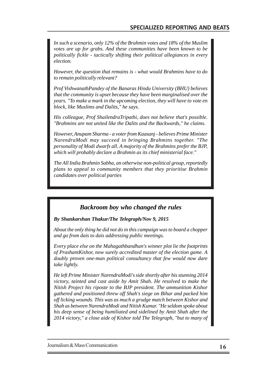*In such a scenario, only 12% of the Brahmin votes and 18% of the Muslim votes are up for grabs. And these communities have been known to be politically fickle - tactically shifting their political allegiances in every election.*

*However, the question that remains is - what would Brahmins have to do to remain politically relevant?*

*Prof VishwanathPandey of the Banaras Hindu University (BHU) believes that the community is upset because they have been marginalised over the years. "To make a mark in the upcoming election, they will have to vote en block, like Muslims and Dalits," he says.*

*His colleague, Prof ShailendraTripathi, does not believe that's possible. "Brahmins are not united like the Dalits and the Backwards," he claims.*

*However, Anupam Sharma - a voter from Kaasanj - believes Prime Minister NarendraModi may succeed in bringing Brahmins together. "The personality of Modi dwarfs all. A majority of the Brahmins prefer the BJP, which will probably declare a Brahmin as its chief ministerial face."*

*The All India Brahmin Sabha, an otherwise non-political group, reportedly plans to appeal to community members that they prioritise Brahmin candidates over political parties*

### *Backroom boy who changed the rules*

*By Shankarshan Thakur/The Telegraph/Nov 9, 2015*

*About the only thing he did not do in this campaign was to board a chopper and go from dais to dais addressing public meetings.*

*Every place else on the Mahagathbandhan's winner plot lie the footprints of PrashantKishor, now surely accredited master of the election game. A doubly proven one-man political consultancy that few would now dare take lightly.*

*He left Prime Minister NarendraModi's side shortly after his stunning 2014 victory, tainted and cast aside by Amit Shah. He resolved to make the Nitish Project his riposte to the BJP president. The ammunition Kishor gathered and positioned threw off Shah's siege on Bihar and packed him off licking wounds. This was as much a grudge match between Kishor and Shah as between NarendraModi and Nitish Kumar. "He seldom spoke about his deep sense of being humiliated and sidelined by Amit Shah after the 2014 victory," a close aide of Kishor told The Telegraph, "but to many of*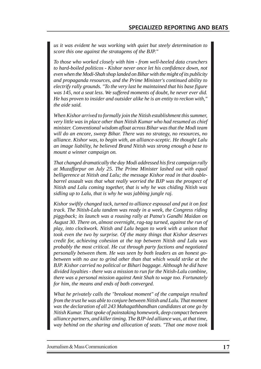*us it was evident he was working with quiet but steely determination to score this one against the stratagems of the BJP."*

*To those who worked closely with him - from well-heeled data crunchers to hard-boiled politicos - Kishor never once let his confidence down, not even when the Modi-Shah shop landed on Bihar with the might of its publicity and propaganda resources, and the Prime Minister's continued ability to electrify rally grounds. "To the very last he maintained that his base figure was 145, not a seat less. We suffered moments of doubt, he never ever did. He has proven to insider and outsider alike he is an entity to reckon with," the aide said.*

*When Kishor arrived to formally join the Nitish establishment this summer, very little was in place other than Nitish Kumar who had resumed as chief minister. Conventional wisdom afloat across Bihar was that the Modi team will do an encore, sweep Bihar. There was no strategy, no resources, no alliance. Kishor was, to begin with, an alliance-sceptic. He thought Lalu an image liability, he believed Brand Nitish was strong enough a base to mount a winner campaign on.*

*That changed dramatically the day Modi addressed his first campaign rally at Muzaffarpur on July 25. The Prime Minister lashed out with equal belligerence at Nitish and Lalu; the message Kishor read in that doublebarrel assault was that what really worried the BJP was the prospect of Nitish and Lalu coming together, that is why he was chiding Nitish was sidling up to Lalu, that is why he was jabbing jungle raj.*

*Kishor swiftly changed tack, turned to alliance espousal and put it on fast track. The Nitish-Lalu tandem was ready in a week, the Congress riding piggyback; its launch was a rousing rally at Patna's Gandhi Maidan on August 30. There on, almost overnight, rag-tag turned, against the run of play, into clockwork. Nitish and Lalu began to work with a unison that took even the two by surprise. Of the many things that Kishor deserves credit for, achieving cohesion at the top between Nitish and Lalu was probably the most critical. He cut through party factions and negotiated personally between them. He was seen by both leaders as an honest gobetween with no axe to grind other than that which would strike at the BJP. Kishor carried no political or Bihari baggage. Although he did have divided loyalties - there was a mission to run for the Nitish-Lalu combine, there was a personal mission against Amit Shah to wage too. Fortunately for him, the means and ends of both converged.*

*What he privately calls the "breakout moment" of the campaign resulted from the trust he was able to conjure between Nitish and Lalu. That moment was the declaration of all 243 Mahagathbandhan candidates at one go by Nitish Kumar. That spoke of painstaking homework, deep compact between alliance partners, and killer timing. The BJP-led alliance was, at that time, way behind on the sharing and allocation of seats. "That one move took*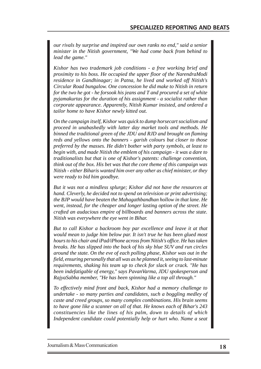*our rivals by surprise and inspired our own ranks no end," said a senior minister in the Nitish government, "We had come back from behind to lead the game."*

*Kishor has two trademark job conditions - a free working brief and proximity to his boss. He occupied the upper floor of the NarendraModi residence in Gandhinagar; in Patna, he lived and worked off Nitish's Circular Road bungalow. One concession he did make to Nitish in return for the two he got - he forsook his jeans and T and procured a set of white pyjamakurtas for the duration of his assignment - a socialist rather than corporate appearance. Apparently, Nitish Kumar insisted, and ordered a tailor home to have Kishor newly kitted out.*

*On the campaign itself, Kishor was quick to dump horsecart socialism and proceed in unabashedly with latter day market tools and methods. He binned the traditional green of the JDU and RJD and brought on flaming reds and yellows onto the banners - garish colours but closer to those preferred by the masses. He didn't bother with party symbols, at least to begin with, and made Nitish the emblem of his campaign - it was a dare to traditionalists but that is one of Kishor's patents: challenge convention, think out of the box. His bet was that the core theme of this campaign was Nitish - either Biharis wanted him over any other as chief minister, or they were ready to bid him goodbye.*

*But it was not a mindless splurge; Kishor did not have the resources at hand. Cleverly, he decided not to spend on television or print advertising; the BJP would have beaten the Mahagathbandhan hollow in that lane. He went, instead, for the cheaper and longer lasting option of the street. He crafted an audacious empire of billboards and banners across the state. Nitish was everywhere the eye went in Bihar.*

*But to call Kishor a backroom boy par excellence and leave it at that would mean to judge him below par. It isn't true he has been glued most hours to his chair and iPad/iPhone across from Nitish's office. He has taken breaks. He has slipped into the back of his sky blue SUV and run circles around the state. On the eve of each polling phase, Kishor was out in the field, ensuring personally that all was as he planned it, seeing to last-minute requirements, shaking his team up to check for slack or crack. "He has been indefatigable of energy," says PavanVarma, JDU spokesperson and RajyaSabha member, "He has been spinning like a top all through."*

*To effectively mind front and back, Kishor had a memory challenge to undertake - so many parties and candidates, such a boggling medley of caste and creed groups, so many complex combinations. His brain seems to have gone like a scanner on all of that. He knows each of Bihar's 243 constituencies like the lines of his palm, down to details of which Independent candidate could potentially help or hurt who. Name a seat*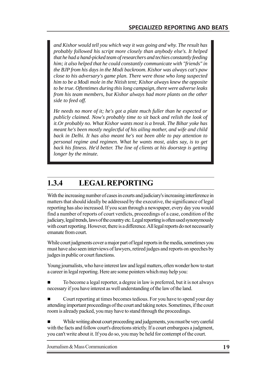*and Kishor would tell you which way it was going and why. The result has probably followed his script more closely than anybody else's. It helped that he had a hand-picked team of researchers and techies constantly feeding him; it also helped that he could constantly communicate with "friends" in the BJP from his days in the Modi backroom. Kishor was always cat's paw close to his adversary's game plan. There were those who long suspected him to be a Modi mole in the Nitish tent; Kishor always knew the opposite to be true. Oftentimes during this long campaign, there were adverse leaks from his team members, but Kishor always had more plants on the other side to feed off.*

*He needs no more of it; he's got a plate much fuller than he expected or publicly claimed. Now's probably time to sit back and relish the look of it.Or probably no. What Kishor wants most is a break. The Bihar yoke has meant he's been mostly neglectful of his ailing mother, and wife and child back in Delhi. It has also meant he's not been able to pay attention to personal regime and regimen. What he wants most, aides say, is to get back his fitness. He'd better. The line of clients at his doorstep is getting longer by the minute.*

## **1.3.4 LEGAL REPORTING**

With the increasing number of cases in courts and judiciary's increasing interference in matters that should ideally be addressed by the executive, the significance of legal reporting has also increased. If you scan through a newspaper, every day you would find a number of reports of court verdicts, proceedings of a case, condition of the judiciary, legal trends, laws of the country etc. Legal reporting is often used synonymously with court reporting. However, there is a difference. All legal reports do not necessarily emanate from court.

While court judgments cover a major part of legal reports in the media, sometimes you must have also seen interviews of lawyers, retired judges and reports on speeches by judges in public or court functions.

Young journalists, who have interest law and legal matters, often wonder how to start a career in legal reporting. Here are some pointers which may help you:

 To become a legal reporter, a degree in law is preferred, but it is not always necessary if you have interest as well understanding of the law of the land.

 Court reporting at times becomes tedious. For you have to spend your day attending important proceedings of the court and taking notes. Sometimes, if the court room is already packed, you may have to stand through the proceedings.

 While writing about court proceeding and judgements, you must be very careful with the facts and follow court's directions strictly. If a court embargoes a judgment, you can't write about it. If you do so, you may be held for contempt of the court.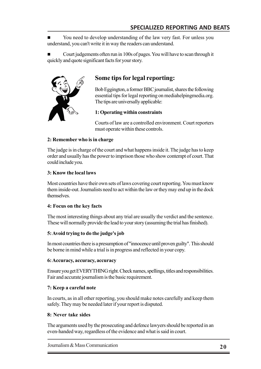You need to develop understanding of the law very fast. For unless you understand, you can't write it in way the readers can understand.

 Court judgements often run in 100s of pages. You will have to scan through it quickly and quote significant facts for your story.



### **Some tips for legal reporting:**

Bob Eggington, a former BBC journalist, shares the following essential tips for legal reporting on mediahelpingmedia.org. The tips are universally applicable:

#### **1: Operating within constraints**

Courts of law are a controlled environment. Court reporters must operate within these controls.

#### **2: Remember who is in charge**

The judge is in charge of the court and what happens inside it. The judge has to keep order and usually has the power to imprison those who show contempt of court. That could include you.

#### **3: Know the local laws**

Most countries have their own sets of laws covering court reporting. You must know them inside-out. Journalists need to act within the law or they may end up in the dock themselves.

#### **4: Focus on the key facts**

The most interesting things about any trial are usually the verdict and the sentence. These will normally provide the lead to your story (assuming the trial has finished).

#### **5: Avoid trying to do the judge's job**

In most countries there is a presumption of "innocence until proven guilty". This should be borne in mind while a trial is in progress and reflected in your copy.

#### **6: Accuracy, accuracy, accuracy**

Ensure you get EVERYTHING right. Check names, spellings, titles and responsibilities. Fair and accurate journalism is the basic requirement.

#### **7: Keep a careful note**

In courts, as in all other reporting, you should make notes carefully and keep them safely. They may be needed later if your report is disputed.

#### **8: Never take sides**

The arguments used by the prosecuting and defence lawyers should be reported in an even-handed way, regardless of the evidence and what is said in court.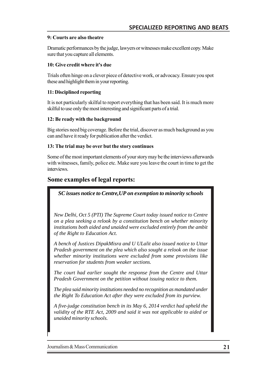#### **9: Courts are also theatre**

Dramatic performances by the judge, lawyers or witnesses make excellent copy. Make sure that you capture all elements.

#### **10: Give credit where it's due**

Trials often hinge on a clever piece of detective work, or advocacy. Ensure you spot these and highlight them in your reporting.

#### **11: Disciplined reporting**

It is not particularly skilful to report everything that has been said. It is much more skilful to use only the most interesting and significant parts of a trial.

#### **12: Be ready with the background**

Big stories need big coverage. Before the trial, discover as much background as you can and have it ready for publication after the verdict.

#### **13: The trial may be over but the story continues**

Some of the most important elements of your story may be the interviews afterwards with witnesses, family, police etc. Make sure you leave the court in time to get the interviews.

### **Some examples of legal reports:**

*SC issues notice to Centre,UP on exemption to minority schools*

*New Delhi, Oct 5 (PTI) The Supreme Court today issued notice to Centre on a plea seeking a relook by a constitution bench on whether minority institutions both aided and unaided were excluded entirely from the ambit of the Right to Education Act.*

*A bench of Justices DipakMisra and U ULalit also issued notice to Uttar Pradesh government on the plea which also sought a relook on the issue whether minority institutions were excluded from some provisions like reservation for students from weaker sections.*

*The court had earlier sought the response from the Centre and Uttar Pradesh Government on the petition without issuing notice to them.*

*The plea said minority institutions needed no recognition as mandated under the Right To Education Act after they were excluded from its purview.*

*A five-judge constitution bench in its May 6, 2014 verdict had upheld the validity of the RTE Act, 2009 and said it was not applicable to aided or unaided minority schools.*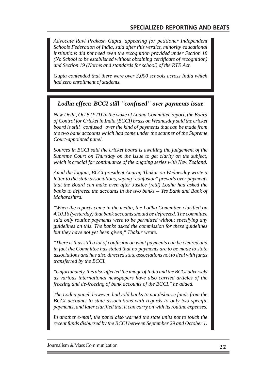*Advocate Ravi Prakash Gupta, appearing for petitioner Independent Schools Federation of India, said after this verdict, minority educational institutions did not need even the recognition provided under Section 18 (No School to be established without obtaining certificate of recognition) and Section 19 (Norms and standards for school) of the RTE Act.*

*Gupta contended that there were over 3,000 schools across India which had zero enrollment of students.*

### *Lodha effect: BCCI still ''confused'' over payments issue*

*New Delhi, Oct 5 (PTI) In the wake of Lodha Committee report, the Board of Control for Cricket in India (BCCI) brass on Wednesday said the cricket board is still "confused" over the kind of payments that can be made from the two bank accounts which had come under the scanner of the Supreme Court-appointed panel.*

*Sources in BCCI said the cricket board is awaiting the judgement of the Supreme Court on Thursday on the issue to get clarity on the subject, which is crucial for continuance of the ongoing series with New Zealand.*

*Amid the logjam, BCCI president Anurag Thakur on Wednesday wrote a letter to the state associations, saying "confusion" prevails over payments that the Board can make even after Justice (retd) Lodha had asked the banks to defreeze the accounts in the two banks -- Yes Bank and Bank of Maharashtra.*

*"When the reports came in the media, the Lodha Committee clarified on 4.10.16 (yesterday) that bank accounts should be defreezed. The committee said only routine payments were to be permitted without specifying any guidelines on this. The banks asked the commission for these guidelines but they have not yet been given," Thakur wrote.*

*"There is thus still a lot of confusion on what payments can be cleared and in fact the Committee has stated that no payments are to be made to state associations and has also directed state associations not to deal with funds transferred by the BCCI.*

*"Unfortunately, this also affected the image of India and the BCCI adversely as various international newspapers have also carried articles of the freezing and de-freezing of bank accounts of the BCCI," he added.*

*The Lodha panel, however, had told banks to not disburse funds from the BCCI accounts to state associations with regards to only two specific payments, and later clarified that it can carry on with its routine expenses.*

*In another e-mail, the panel also warned the state units not to touch the recent funds disbursed by the BCCI between September 29 and October 1.*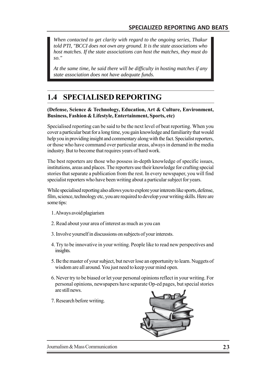*When contacted to get clarity with regard to the ongoing series, Thakur told PTI, "BCCI does not own any ground. It is the state associations who host matches. If the state associations can host the matches, they must do so."*

*At the same time, he said there will be difficulty in hosting matches if any state association does not have adequate funds.*

## **1.4 SPECIALISED REPORTING**

#### **(Defense, Science & Technology, Education, Art & Culture, Environment, Business, Fashion & Lifestyle, Entertainment, Sports, etc)**

Specialised reporting can be said to be the next level of beat reporting. When you cover a particular beat for a long time, you gain knowledge and familiarity that would help you in providing insight and commentary along with the fact. Specialist reporters, or those who have command over particular areas, always in demand in the media industry. But to become that requires years of hard work.

The best reporters are those who possess in-depth knowledge of specific issues, institutions, areas and places. The reporters use their knowledge for crafting special stories that separate a publication from the rest. In every newspaper, you will find specialist reporters who have been writing about a particular subject for years.

While specialised reporting also allows you to explore your interests like sports, defense, film, science, technology etc, you are required to develop your writing skills. Here are some tips:

- 1. Always avoid plagiarism
- 2. Read about your area of interest as much as you can
- 3. Involve yourself in discussions on subjects of your interests.
- 4. Try to be innovative in your writing. People like to read new perspectives and insights.
- 5. Be the master of your subject, but never lose an opportunity to learn. Nuggets of wisdom are all around. You just need to keep your mind open.
- 6. Never try to be biased or let your personal opinions reflect in your writing. For personal opinions, newspapers have separate Op-ed pages, but special stories are still news.
- 7. Research before writing.

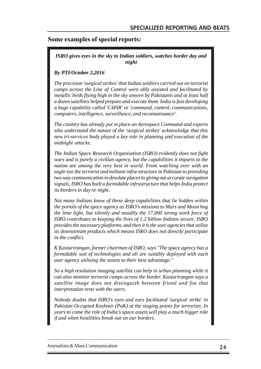### **Some examples of special reports:**

*ISRO gives eyes in the sky to Indian soldiers, watches border day and night*

### *By PTI/October 2,2016*

*The precision 'surgical strikes' that Indian soldiers carried out on terrorist camps across the Line of Control were ably assisted and facilitated by metallic birds flying high in the sky unseen by Pakistanis and at least half a dozen satellites helped prepare and execute them. India is fast developing a huge capability called 'C4ISR' or 'command, control, communications, computers, intelligence, surveillance, and reconnaissance'.*

*The country has already put in place an Aerospace Command and experts who understand the nature of the 'surgical strikes' acknowledge that this new tri-services body played a key role in planning and execution of the midnight attacks.*

*The Indian Space Research Organisation (ISRO) evidently does not fight wars and is purely a civilian agency, but the capabilities it imparts to the nation are among the very best in world. From watching over with an eagle eye the terrorist and militant infra-structure in Pakistan to providing two way communication in desolate places to giving out accurate navigation signals, ISRO has built a formidable infrastructure that helps India protect its borders in day or night.*

*Not many Indians know of these deep capabilities that lie hidden within the portals of the space agency as ISRO's missions to Mars and Moon hog the lime light, but silently and steadily the 17,000 strong work force of ISRO contributes to keeping the lives of 1.2 billion Indians secure. ISRO provides the necessary platforms, and then it is the user agencies that utilise its downstream products which means ISRO does not directly participate in the conflict.*

*K Kasturirangan, former chairman of ISRO, says "The space agency has a formidable suit of technologies and all are suitably deployed with each user agency utilising the assets to their best advantage."*

*So a high resolution imaging satellite can help in urban planning while it can also monitor terrorist camps across the border. Kasturirangan says a satellite image does not distinguish between friend and foe that interpretation rests with the users.*

*Nobody doubts that ISRO's eyes and ears facilitated 'surgical strike' in Pakistan Occupied Kashmir (PoK) at the staging points for terrorists. In years to come the role of India's space assets will play a much bigger role if and when hostilities break out on our borders.*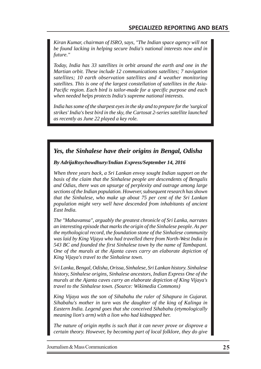*Kiran Kumar, chairman of ISRO, says, "The Indian space agency will not be found lacking in helping secure India's national interests now and in future."*

*Today, India has 33 satellites in orbit around the earth and one in the Martian orbit. These include 12 communications satellites; 7 navigation satellites; 10 earth observation satellites and 4 weather monitoring satellites. This is one of the largest constellation of satellites in the Asia-Pacific region. Each bird is tailor-made for a specific purpose and each when needed helps protects India's supreme national interests.*

*India has some of the sharpest eyes in the sky and to prepare for the 'surgical strikes' India's best bird in the sky, the Cartosat 2-series satellite launched as recently as June 22 played a key role.*

### *Yes, the Sinhalese have their origins in Bengal, Odisha*

*By AdrijaRoychowdhury/Indian Express/September 14, 2016*

*When three years back, a Sri Lankan envoy sought Indian support on the basis of the claim that the Sinhalese people are descendents of Bengalis and Odias, there was an upsurge of perplexity and outrage among large sections of the Indian population. However, subsequent research has shown that the Sinhalese, who make up about 75 per cent of the Sri Lankan population might very well have descended from inhabitants of ancient East India.*

*The "Mahavamsa", arguably the greatest chronicle of Sri Lanka, narrates an interesting episode that marks the origin of the Sinhalese people. As per the mythological record, the foundation stone of the Sinhalese community was laid by King Vijaya who had travelled there from North-West India in 543 BC and founded the first Sinhalese town by the name of Tambapani. One of the murals at the Ajanta caves carry an elaborate depiction of King Vijaya's travel to the Sinhalese town.*

*Sri Lanka, Bengal, Odisha, Orissa, Sinhalese, Sri Lankan history. Sinhalese history, Sinhalese origins, Sinhalese ancestors, Indian Express One of the murals at the Ajanta caves carry an elaborate depiction of King Vijaya's travel to the Sinhalese town. (Source: Wikimedia Commons)*

*King Vijaya was the son of Sihabahu the ruler of Sihapura in Gujarat. Sihabahu's mother in turn was the daughter of the king of Kalinga in Eastern India. Legend goes that she conceived Sihabahu (etymologically meaning lion's arm) with a lion who had kidnapped her.*

*The nature of origin myths is such that it can never prove or disprove a certain theory. However, by becoming part of local folklore, they do give*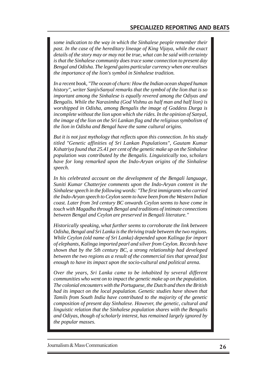*some indication to the way in which the Sinhalese people remember their past. In the case of the hereditary lineage of King Vijaya, while the exact details of the story may or may not be true, what can be said with certainty is that the Sinhalese community does trace some connection to present day Bengal and Odisha. The legend gains particular currency when one realises the importance of the lion's symbol in Sinhalese tradition.*

*In a recent book, "The ocean of churn: How the Indian ocean shaped human history", writer SanjivSanyal remarks that the symbol of the lion that is so important among the Sinhalese is equally revered among the Odiyas and Bengalis. While the Narasimha (God Vishnu as half man and half lion) is worshipped in Odisha, among Bengalis the image of Goddess Durga is incomplete without the lion upon which she rides. In the opinion of Sanyal, the image of the lion on the Sri Lankan flag and the religious symbolism of the lion in Odisha and Bengal have the same cultural origins.*

*But it is not just mythology that reflects upon this connection. In his study titled "Genetic affinities of Sri Lankan Populations", Gautam Kumar Kshatriya found that 25.41 per cent of the genetic make up on the Sinhalese population was contributed by the Bengalis. Linguistically too, scholars have for long remarked upon the Indo-Aryan origins of the Sinhalese speech.*

*In his celebrated account on the development of the Bengali language, Suniti Kumar Chatterjee comments upon the Indo-Aryan content in the Sinhalese speech in the following words: "The first immigrants who carried the Indo-Aryan speech to Ceylon seem to have been from the Western Indian coast. Later from 3rd century BC onwards Ceylon seems to have come in touch with Magadha through Bengal and traditions of intimate connections between Bengal and Ceylon are preserved in Bengali literature."*

*Historically speaking, what further seems to corroborate the link between Odisha, Bengal and Sri Lanka is the thriving trade between the two regions. While Ceylon (old name of Sri Lanka) depended upon Kalinga for import of elephants, Kalinga imported pearl and silver from Ceylon. Records have shown that by the 5th century BC, a strong relationship had developed between the two regions as a result of the commercial ties that spread fast enough to have its impact upon the socio-cultural and political arena.*

*Over the years, Sri Lanka came to be inhabited by several different communities who went on to impact the genetic make up on the population. The colonial encounters with the Portuguese, the Dutch and then the British had its impact on the local population. Genetic studies have shown that Tamils from South India have contributed to the majority of the genetic composition of present day Sinhalese. However, the genetic, cultural and linguistic relation that the Sinhalese population shares with the Bengalis and Odiyas, though of scholarly interest, has remained largely ignored by the popular masses.*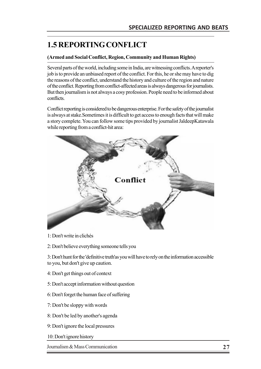## **1.5 REPORTING CONFLICT**

### **(Armed and Social Conflict, Region, Community and Human Rights)**

Several parts of the world, including some in India, are witnessing conflicts. A reporter's job is to provide an unbiased report of the conflict. For this, he or she may have to dig the reasons of the conflict, understand the history and culture of the region and nature of the conflict. Reporting from conflict-affected areas is always dangerous for journalists. But then journalism is not always a cosy profession. People need to be informed about conflicts.

Conflict reporting is considered to be dangerous enterprise. For the safety of the journalist is always at stake.Sometimes it is difficult to get access to enough facts that will make a story complete. You can follow some tips provided by journalist JaldeepKatawala while reporting from a conflict-hit area:



- 1: Don't write in clichés
- 2: Don't believe everything someone tells you

3: Don't hunt for the 'definitive truth'as you will have to rely on the information accessible to you, but don't give up caution.

- 4: Don't get things out of context
- 5: Don't accept information without question
- 6: Don't forget the human face of suffering
- 7: Don't be sloppy with words
- 8: Don't be led by another's agenda
- 9: Don't ignore the local pressures
- 10: Don't ignore history
- Journalism & Mass Communication **27**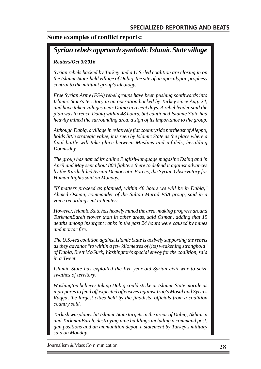### **Some examples of conflict reports:**

### *Syrian rebels approach symbolic Islamic State village*

#### *Reuters/Oct 3/2016*

*Syrian rebels backed by Turkey and a U.S.-led coalition are closing in on the Islamic State-held village of Dabiq, the site of an apocalyptic prophesy central to the militant group's ideology.*

*Free Syrian Army (FSA) rebel groups have been pushing southwards into Islamic State's territory in an operation backed by Turkey since Aug. 24, and have taken villages near Dabiq in recent days. A rebel leader said the plan was to reach Dabiq within 48 hours, but cautioned Islamic State had heavily mined the surrounding area, a sign of its importance to the group.*

*Although Dabiq, a village in relatively flat countryside northeast of Aleppo, holds little strategic value, it is seen by Islamic State as the place where a final battle will take place between Muslims and infidels, heralding Doomsday.*

*The group has named its online English-language magazine Dabiq and in April and May sent about 800 fighters there to defend it against advances by the Kurdish-led Syrian Democratic Forces, the Syrian Observatory for Human Rights said on Monday.*

*"If matters proceed as planned, within 48 hours we will be in Dabiq," Ahmed Osman, commander of the Sultan Murad FSA group, said in a voice recording sent to Reuters.*

*However, Islamic State has heavily mined the area, making progress around TurkmanBareh slower than in other areas, said Osman, adding that 15 deaths among insurgent ranks in the past 24 hours were caused by mines and mortar fire.*

*The U.S.-led coalition against Islamic State is actively supporting the rebels as they advance "to within a few kilometres of (its) weakening stronghold" of Dabiq, Brett McGurk, Washington's special envoy for the coalition, said in a Tweet.*

*Islamic State has exploited the five-year-old Syrian civil war to seize swathes of territory.*

*Washington believes taking Dabiq could strike at Islamic State morale as it prepares to fend off expected offensives against Iraq's Mosul and Syria's Raqqa, the largest cities held by the jihadists, officials from a coalition country said.*

*Turkish warplanes hit Islamic State targets in the areas of Dabiq, Akhtarin and TurkmanBareh, destroying nine buildings including a command post, gun positions and an ammunition depot, a statement by Turkey's military said on Monday.*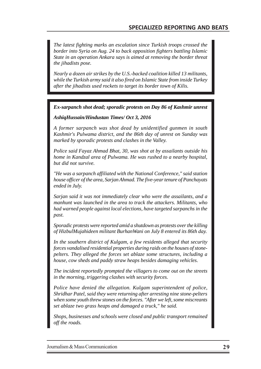*The latest fighting marks an escalation since Turkish troops crossed the border into Syria on Aug. 24 to back opposition fighters battling Islamic State in an operation Ankara says is aimed at removing the border threat the jihadists pose.*

*Nearly a dozen air strikes by the U.S.-backed coalition killed 13 militants, while the Turkish army said it also fired on Islamic State from inside Turkey after the jihadists used rockets to target its border town of Kilis.*

*Ex-sarpanch shot dead; sporadic protests on Day 86 of Kashmir unrest*

*AshiqHussain/Hindustan Times/ Oct 3, 2016*

*A former sarpanch was shot dead by unidentified gunmen in south Kashmir's Pulwama district, and the 86th day of unrest on Sunday was marked by sporadic protests and clashes in the Valley.*

*Police said Fayaz Ahmad Bhat, 30, was shot at by assailants outside his home in Kandzal area of Pulwama. He was rushed to a nearby hospital, but did not survive.*

*"He was a sarpanch affiliated with the National Conference," said station house officer of the area, Sarjan Ahmad. The five-year tenure of Panchayats ended in July.*

*Sarjan said it was not immediately clear who were the assailants, and a manhunt was launched in the area to track the attackers. Militants, who had warned people against local elections, have targeted sarpanchs in the past.*

*Sporadic protests were reported amid a shutdown as protests over the killing of HizbulMujahideen militant BurhanWani on July 8 entered its 86th day.*

*In the southern district of Kulgam, a few residents alleged that security forces vandalised residential properties during raids on the houses of stonepelters. They alleged the forces set ablaze some structures, including a house, cow sheds and paddy straw heaps besides damaging vehicles.*

*The incident reportedly prompted the villagers to come out on the streets in the morning, triggering clashes with security forces.*

*Police have denied the allegation. Kulgam superintendent of police, Shridhar Patel, said they were returning after arresting nine stone-pelters when some youth threw stones on the forces. "After we left, some miscreants set ablaze two grass heaps and damaged a truck," he said.*

*Shops, businesses and schools were closed and public transport remained off the roads.*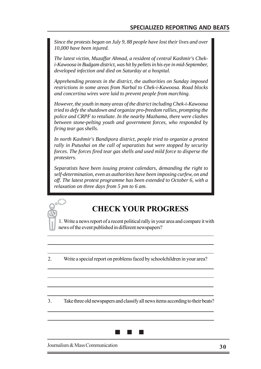*Since the protests began on July 9, 88 people have lost their lives and over 10,000 have been injured.*

*The latest victim, Muzaffar Ahmad, a resident of central Kashmir's Cheki-Kawoosa in Budgam district, was hit by pellets in his eye in mid-September, developed infection and died on Saturday at a hospital.*

*Apprehending protests in the district, the authorities on Sunday imposed restrictions in some areas from Narbal to Chek-i-Kawoosa. Road blocks and concertina wires were laid to prevent people from marching.*

*However, the youth in many areas of the district including Chek-i-Kawoosa tried to defy the shutdown and organize pro-freedom rallies, prompting the police and CRPF to retaliate. In the nearby Mazhama, there were clashes between stone-pelting youth and government forces, who responded by firing tear gas shells.*

*In north Kashmir's Bandipora district, people tried to organize a protest rally in Putushai on the call of separatists but were stopped by security forces. The forces fired tear gas shells and used mild force to disperse the protesters.*

*Separatists have been issuing protest calendars, demanding the right to self-determination, even as authorities have been imposing curfew, on and off. The latest protest programme has been extended to October 6, with a relaxation on three days from 5 pm to 6 am.*

## **CHECK YOUR PROGRESS**

1. Write a news report of a recent political rally in your area and compare it with news of the event published in different newspapers?

2. Write a special report on problems faced by schoolchildren in your area?

3. Take three old newspapers and classify all news items according to their beats?

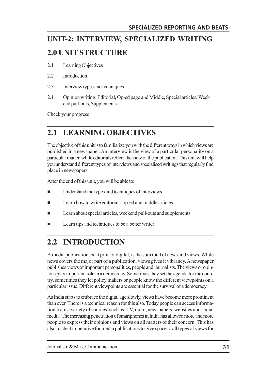## **UNIT-2: INTERVIEW, SPECIALIZED WRITING**

## **2.0 UNIT STRUCTURE**

- 2.1 Learning Objectives
- 2.2 Introduction
- 2.3 Interview types and techniques
- 2.4: Opinion writing: Editorial, Op-ed page and Middle, Special articles, Week end pull-outs, Supplements

Check your progress

## **2.1 LEARNING OBJECTIVES**

The objective of this unit is to familiarize you with the different ways in which views are published in a newspaper. An interview is the view of a particular personality on a particular matter, while editorials reflect the view of the publication. This unit will help you understand different types of interviews and specialised writings that regularly find place in newspapers.

After the end of this unit, you will be able to:

- Understand the types and techniques of interviews
- Learn how to write editorials, op-ed and middle articles
- Learn about special articles, weekend pull-outs and supplements
- Learn tips and techniques to be a better writer

## **2.2 INTRODUCTION**

A media publication, be it print or digital, is the sum total of news and views. While news covers the major part of a publication, views gives it vibrancy. A newspaper publishes views of important personalities, people and journalists. The views or opinions play important role in a democracy. Sometimes they set the agenda for the country, sometimes they let policy makers or people know the different viewpoints on a particular issue. Different viewpoints are essential for the survival of a democracy.

As India starts to embrace the digital age slowly, views have become more prominent than ever. There is a technical reason for this also. Today people can access information from a variety of sources, such as: TV, radio, newspapers, websites and social media. The increasing penetration of smartphones in India has allowed more and more people to express their opinions and views on all matters of their concern. This has also made it imperative for media publications to give space to all types of views for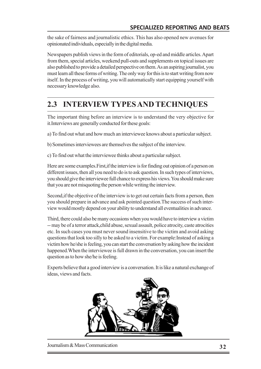the sake of fairness and journalistic ethics. This has also opened new avenues for opinionated individuals, especially in the digital media.

Newspapers publish views in the form of editorials, op-ed and middle articles. Apart from them, special articles, weekend pull-outs and supplements on topical issues are also published to provide a detailed perspective on them. As an aspiring journalist, you must learn all these forms of writing. The only way for this is to start writing from now itself. In the process of writing, you will automatically start equipping yourself with necessary knowledge also.

## **2.3 INTERVIEW TYPES AND TECHNIQUES**

The important thing before an interview is to understand the very objective for it.Interviews are generally conducted for these goals:

a) To find out what and how much an interviewee knows about a particular subject.

b) Sometimes interviewees are themselves the subject of the interview.

c) To find out what the interviewee thinks about a particular subject.

Here are some examples.First,if the interview is for finding out opinion of a person on different issues, then all you need to do is to ask question. In such types of interviews, you should give the interviewee full chance to express his views. You should make sure that you are not misquoting the person while writing the interview.

Second,if the objective of the interview is to get out certain facts from a person, then you should prepare in advance and ask pointed question.The success of such interview would mostly depend on your ability to understand all eventualities in advance.

Third, there could also be many occasions when you would have to interview a victim -- may be of a terror attack,child abuse, sexual assault, police atrocity, caste atrocities etc. In such cases you must never sound insensitive to the victim and avoid asking questions that look too silly to be asked to a victim. For example:Instead of asking a victim how he/she is feeling, you can start the conversation by asking how the incident happened.When the interviewee is full drawn in the conversation, you can insert the question as to how she/he is feeling.

Experts believe that a good interview is a conversation. It is like a natural exchange of ideas, views and facts.

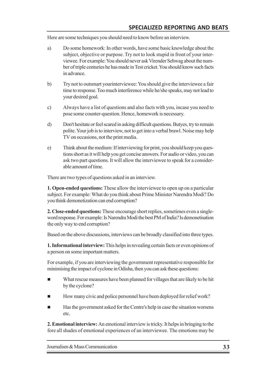Here are some techniques you should need to know before an interview.

- a) Do some homework: In other words, have some basic knowledge about the subject, objective or purpose. Try not to look stupid in front of your interviewee. For example: You should never ask Virender Sehwag about the number of triple centuries he has made in Test cricket. You should know such facts in advance.
- b) Try not to outsmart yourinterviewee: You should give the interviewee a fair time to response. Too much interference while he/she speaks, may not lead to your desired goal.
- c) Always have a list of questions and also facts with you, incase you need to pose some counter-question. Hence, homework is necessary.
- d) Don't hesitate or feel scared in asking difficult questions. Butyes, try to remain polite. Your job is to interview, not to get into a verbal brawl. Noise may help TV on occasions, not the print media.
- e) Think about the medium: If interviewing for print, you should keep you questions short as it will help you get concise answers. For audio or video, you can ask two part questions. It will allow the interviewee to speak for a considerable amount of time.

There are two types of questions asked in an interview.

**1. Open-ended questions:** These allow the interviewee to open up on a particular subject. For example: What do you think about Prime Minister Narendra Modi? Do you think demonetization can end corruption?

**2. Close-ended questions:** These encourage short replies, sometimes even a singleword response. For example: Is Narendra Modi the best PM of India? Is demonetisation the only way to end corruption?

Based on the above discussions, interviews can be broadly classified into three types.

**1. Informational interview:** This helps in revealing certain facts or even opinions of a person on some important matters.

For example, if you are interviewing the government representative responsible for minimising the impact of cyclone in Odisha, then you can ask these questions:

- What rescue measures have been planned for villages that are likely to be hit by the cyclone?
- How many civic and police personnel have been deployed for relief work?
- Has the government asked for the Centre's help in case the situation worsens etc.

**2. Emotional interview:** An emotional interview is tricky. It helps in bringing to the fore all shades of emotional experiences of an interviewee. The emotions may be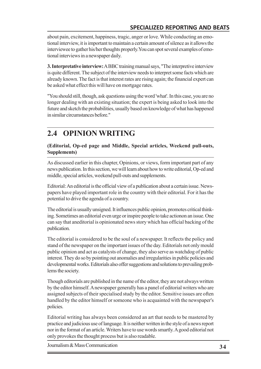about pain, excitement, happiness, tragic, anger or love. While conducting an emotional interview, it is important to maintain a certain amount of silence as it allows the interviewee to gather his/her thoughts properly.You can spot several examples of emotional interviews in a newspaper daily.

**3. Interpretative interview:** A BBC training manual says, "The interpretive interview is quite different. The subject of the interview needs to interpret some facts which are already known. The fact is that interest rates are rising again; the financial expert can be asked what effect this will have on mortgage rates.

"You should still, though, ask questions using the word 'what'. In this case, you are no longer dealing with an existing situation; the expert is being asked to look into the future and sketch the probabilities, usually based on knowledge of what has happened in similar circumstances before."

## **2.4 OPINION WRITING**

**(Editorial, Op-ed page and Middle, Special articles, Weekend pull-outs, Supplements)**

As discussed earlier in this chapter, Opinions, or views, form important part of any news publication. In this section, we will learn about how to write editorial, Op-ed and middle, special articles, weekend pull-outs and supplements.

Editorial: An editorial is the official view of a publication about a certain issue. Newspapers have played important role in the country with their editorial. For it has the potential to drive the agenda of a country.

The editorial is usually unsigned. It influences public opinion, promotes critical thinking. Sometimes an editorial even urge or inspire people to take actionon an issue. One can say that aneditorial is opinionated news story which has official backing of the publication.

The editorial is considered to be the soul of a newspaper. It reflects the policy and stand of the newspaper on the important issues of the day. Editorials not only mould public opinion and act as catalysts of change, they also serve as watchdog of public interest. They do so by pointing out anomalies and irregularities in public policies and developmental works. Editorials also offer suggestions and solutions to prevailing problems the society.

Though editorials are published in the name of the editor, they are not always written by the editor himself. A newspaper generally has a panel of editorial writers who are assigned subjects of their specialised study by the editor. Sensitive issues are often handled by the editor himself or someone who is acquainted with the newspaper's policies.

Editorial writing has always been considered an art that needs to be mastered by practice and judicious use of language. It is neither written in the style of a news report nor in the format of an article. Writers have to use words smartly. A good editorial not only provokes the thought process but is also readable.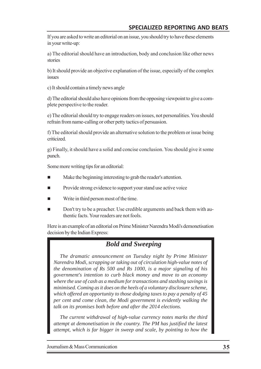If you are asked to write an editorial on an issue, you should try to have these elements in your write-up:

a) The editorial should have an introduction, body and conclusion like other news stories

b) It should provide an objective explanation of the issue, especially of the complex issues

c) It should contain a timely news angle

d) The editorial should also have opinions from the opposing viewpoint to give a complete perspective to the reader.

e) The editorial should try to engage readers on issues, not personalities. You should refrain from name-calling or other petty tactics of persuasion.

f) The editorial should provide an alternative solution to the problem or issue being criticized.

g) Finally, it should have a solid and concise conclusion. You should give it some punch.

Some more writing tips for an editorial:

- Make the beginning interesting to grab the reader's attention.
- Provide strong evidence to support your stand use active voice
- Write in third person most of the time.
- Don't try to be a preacher. Use credible arguments and back them with authentic facts. Your readers are not fools.

Here is an example of an editorial on Prime Minister Narendra Modi's demonetisation decision by the Indian Express:

### *Bold and Sweeping*

*The dramatic announcement on Tuesday night by Prime Minister Narendra Modi, scrapping or taking out of circulation high-value notes of the denomination of Rs 500 and Rs 1000, is a major signaling of his government's intention to curb black money and move to an economy where the use of cash as a medium for transactions and stashing savings is minimised. Coming as it does on the heels of a voluntary disclosure scheme, which offered an opportunity to those dodging taxes to pay a penalty of 45 per cent and come clean, the Modi government is evidently walking the talk on its promises both before and after the 2014 elections.*

*The current withdrawal of high-value currency notes marks the third attempt at demonetisation in the country. The PM has justified the latest attempt, which is far bigger in sweep and scale, by pointing to how the*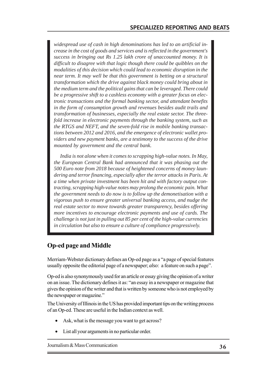*widespread use of cash in high denominations has led to an artificial increase in the cost of goods and services and is reflected in the government's success in bringing out Rs 1.25 lakh crore of unaccounted money. It is difficult to disagree with that logic though there could be quibbles on the modalities of this decision which could lead to economic disruption in the near term. It may well be that this government is betting on a structural transformation which the drive against black money could bring about in the medium term and the political gains that can be leveraged. There could be a progressive shift to a cashless economy with a greater focus on electronic transactions and the formal banking sector, and attendant benefits in the form of consumption growth and revenues besides audit trails and transformation of businesses, especially the real estate sector. The threefold increase in electronic payments through the banking system, such as the RTGS and NEFT, and the seven-fold rise in mobile banking transactions between 2012 and 2016, and the emergence of electronic wallet providers and new payment banks, are a testimony to the success of the drive mounted by government and the central bank.*

*India is not alone when it comes to scrapping high-value notes. In May, the European Central Bank had announced that it was phasing out the 500 Euro note from 2018 because of heightened concerns of money laundering and terror financing, especially after the terror attacks in Paris. At a time when private investment has been hit and with factory output contracting, scrapping high-value notes may prolong the economic pain. What the government needs to do now is to follow up the demonetisation with a vigorous push to ensure greater universal banking access, and nudge the real estate sector to move towards greater transparency, besides offering more incentives to encourage electronic payments and use of cards. The challenge is not just in pulling out 85 per cent of the high-value currencies in circulation but also to ensure a culture of compliance progressively.*

### **Op-ed page and Middle**

Merriam-Webster dictionary defines an Op-ed page as a "a page of special features usually opposite the editorial page of a newspaper; *also*: a feature on such a page".

Op-ed is also synonymously used for an article or essay giving the opinion of a writer on an issue. The dictionary defines it as: "an essay in a newspaper or magazine that gives the opinion of the writer and that is written by someone who is not employed by the newspaper or magazine."

The University of Illinois in the US has provided important tips on the writing process of an Op-ed. These are useful in the Indian context as well.

- Ask, what is the message you want to get across?
- List all your arguments in no particular order.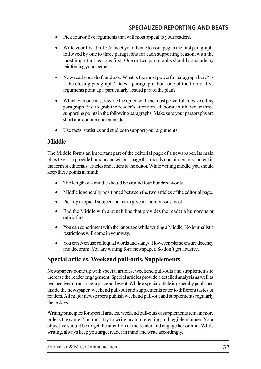- Pick four or five arguments that will most appeal to your readers.
- Write your first draft. Connect your theme to your peg in the first paragraph, followed by one to three paragraphs for each supporting reason, with the most important reasons first. One or two paragraphs should conclude by reinforcing your theme.
- Now read your draft and ask: What is the most powerful paragraph here? Is it the closing paragraph? Does a paragraph about one of the four or five arguments point up a particularly absurd part of the plan?
- Whichever one it is, rewrite the op-ed with the most powerful, most exciting paragraph first to grab the reader's attention, elaborate with two or three supporting points in the following paragraphs. Make sure your paragraphs are short and contain one main idea.
- Use facts, statistics and studies to support your arguments.

### **Middle**

The Middle forms an important part of the editorial page of a newspaper. Its main objective is to provide humour and wit on a page that mostly contain serious content in the form of editorials, articles and letters to the editor. While writing middle, you should keep these points in mind:

- The length of a middle should be around four hundred words.
- Middle is generally positioned between the two articles of the editorial page.
- Pick up a topical subject and try to give it a humourous twist.
- End the Middle with a punch line that provides the reader a humorous or satiric fare.
- You can experiment with the language while writing a Middle. No journalistic restrictions will come in your way.
- You can even use colloquial words and slangs. However, please ensure decency and decorum. You are writing for a newspaper. So don't get abusive.

### **Special articles, Weekend pull-outs, Supplements**

Newspapers come up with special articles, weekend pull-outs and supplements to increase the reader engagement. Special articles provide a detailed analysis as well as perspectives on an issue, a place and event. While a special article is generally published inside the newspaper, weekend pull-out and supplements cater to different tastes of readers. All major newspapers publish weekend pull-out and supplements regularly these days.

Writing principles for special articles, weekend pull-outs or supplements remain more or less the same. You must try to write in an interesting and legible manner. Your objective should be to get the attention of the reader and engage her or him. While writing, always keep you target reader in mind and write accordingly.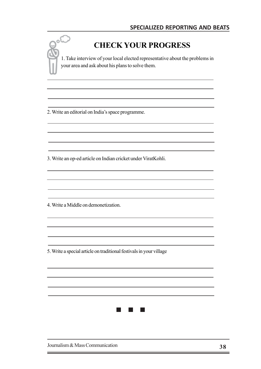## **CHECK YOUR PROGRESS**

1. Take interview of your local elected representative about the problems in your area and ask about his plans to solve them.

2. Write an editorial on India's space programme.

್ತೂದಿ

3. Write an op-ed article on Indian cricket under ViratKohli.

4. Write a Middle on demonetization.

5. Write a special article on traditional festivals in your village

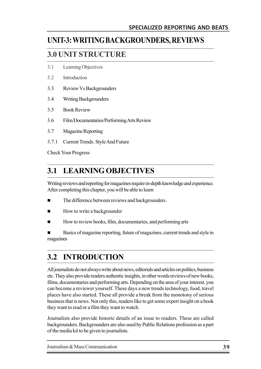## **UNIT-3: WRITING BACKGROUNDERS, REVIEWS**

## **3.0 UNIT STRUCTURE**

- 3.1 Learning Objectives
- 3.2 Introduction
- 3.3 Review Vs Backgrounders
- 3.4 Writing Backgrounders
- 3.5 Book Review
- 3.6 Film/Documentaries/Performing Arts Review
- 3.7 Magazine Reporting
- 3.7.1 Current Trends. Style And Future

Check Your Progress

## **3.1 LEARNING OBJECTIVES**

Writing reviews and reporting for magazines require in-depth knowledge and experience. After completing this chapter, you will be able to learn

- The difference between reviews and backgrounders.
- How to write a backgrounder
- How to review books, film, documentaries, and performing arts

 Basics of magazine reporting, future of magazines, current trends and style in magazines

## **3.2 INTRODUCTION**

All journalists do not always write about news, editorials and articles on politics, business etc. They also provide readers authentic insights, in other words reviews of new books, films, documentaries and performing arts. Depending on the area of your interest, you can become a reviewer yourself. These days a new trends technology, food, travel places have also started. These all provide a break from the monotony of serious business that is news. Not only this, readers like to get some expert insight on a book they want to read or a film they want to watch.

Journalists also provide historic details of an issue to readers. These are called backgrounders. Backgrounders are also used by Public Relations profession as a part of the media kit to be given to journalists.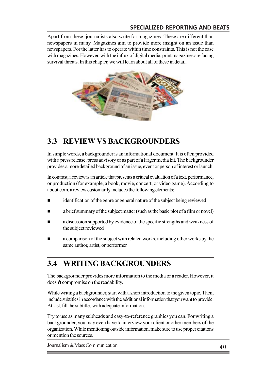Apart from these, journalists also write for magazines. These are different than newspapers in many. Magazines aim to provide more insight on an issue than newspapers. For the latter has to operate within time constraints. This is not the case with magazines. However, with the influx of digital media, print magazines are facing survival threats. In this chapter, we will learn about all of these in detail.



## **3.3 REVIEW VS BACKGROUNDERS**

In simple words, a backgrounder is an informational document. It is often provided with a press release, press advisory or as part of a larger media kit. The backgrounder provides a more detailed background of an issue, event or person of interest or launch.

In contrast, a review is an article that presents a critical evaluation of a text, performance, or production (for example, a book, movie, concert, or video game). According to about.com, a review customarily includes the following elements:

- identification of the genre or general nature of the subject being reviewed
- a brief summary of the subject matter (such as the basic plot of a film or novel)
- a discussion supported by evidence of the specific strengths and weakness of the subject reviewed
- a comparison of the subject with related works, including other works by the same author, artist, or performer

## **3.4 WRITING BACKGROUNDERS**

The backgrounder provides more information to the media or a reader. However, it doesn't compromise on the readability.

While writing a backgrounder, start with a short introduction to the given topic. Then, include subtitles in accordance with the additional information that you want to provide. At last, fill the subtitles with adequate information.

Try to use as many subheads and easy-to-reference graphics you can. For writing a backgrounder, you may even have to interview your client or other members of the organization. While mentioning outside information, make sure to use proper citations or mention the sources.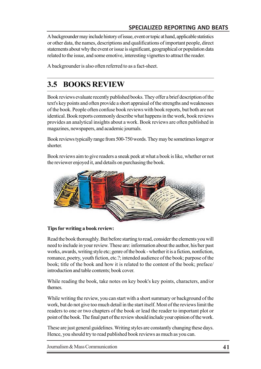A backgrounder may include history of issue, event or topic at hand, applicable statistics or other data, the names, descriptions and qualifications of important people, direct statements about why the event or issue is significant, geographical or population data related to the issue, and some emotive, interesting vignettes to attract the reader.

A backgrounder is also often referred to as a fact-sheet.

## **3.5 BOOKS REVIEW**

Book reviews evaluate recently published books. They offer a brief description of the text's key points and often provide a short appraisal of the strengths and weaknesses of the book. People often confuse book reviews with book reports, but both are not identical. Book reports commonly describe what happens in the work, book reviews provides an analytical insights about a work. Book reviews are often published in magazines, newspapers, and academic journals.

Book reviews typically range from 500-750 words. They may be sometimes longer or shorter.

Book reviews aim to give readers a sneak peek at what a book is like, whether or not the reviewer enjoyed it, and details on purchasing the book.



### **Tips for writing a book review:**

Read the book thoroughly. But before starting to read, consider the elements you will need to include in your review. These are: information about the author, his/her past works, awards, writing style etc; genre of the book - whether it is a fiction, nonfiction, romance, poetry, youth fiction, etc.?; intended audience of the book; purpose of the book; title of the book and how it is related to the content of the book; preface/ introduction and table contents; book cover.

While reading the book, take notes on key book's key points, characters, and/or themes.

While writing the review, you can start with a short summary or background of the work, but do not give too much detail in the start itself. Most of the reviews limit the readers to one or two chapters of the book or lead the reader to important plot or point of the book. The final part of the review should include your opinion of the work.

These are just general guidelines. Writing styles are constantly changing these days. Hence, you should try to read published book reviews as much as you can.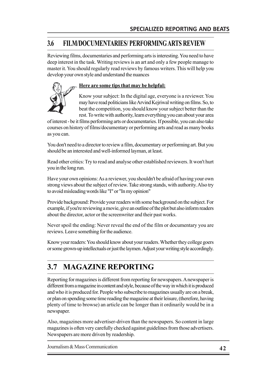### **3.6 FILM/DOCUMENTARIES/ PERFORMING ARTS REVIEW**

Reviewing films, documentaries and performing arts is interesting. You need to have deep interest in the task. Writing reviews is an art and only a few people manage to master it. You should regularly read reviews by famous writers. This will help you develop your own style and understand the nuances

### **Here are some tips that may be helpful:**



Know your subject: In the digital age, everyone is a reviewer. You may have read politicians like Arvind Kejriwal writing on films. So, to beat the competition, you should know your subject better than the rest. To write with authority, learn everything you can about your area

of interest - be it films performing arts or documentaries. If possible, you can also take courses on history of films/documentary or performing arts and read as many books as you can.

You don't need to a director to review a film, documentary or performing art. But you should be an interested and well-informed layman, at least.

Read other critics: Try to read and analyse other established reviewers. It won't hurt you in the long run.

Have your own opinions: As a reviewer, you shouldn't be afraid of having your own strong views about the subject of review. Take strong stands, with authority. Also try to avoid misleading words like "I" or "In my opinion"

Provide background: Provide your readers with some background on the subject. For example, if you're reviewing a movie, give an outline of the plot but also inform readers about the director, actor or the screenwriter and their past works.

Never spoil the ending: Never reveal the end of the film or documentary you are reviews. Leave something for the audience.

Know your readers: You should know about your readers. Whether they college goers or some grown-up intellectuals or just the laymen. Adjust your writing style accordingly.

## **3.7 MAGAZINE REPORTING**

Reporting for magazines is different from reporting for newspapers. A newspaper is different from a magazine in content and style, because of the way in which it is produced and who it is produced for. People who subscribe to magazines usually are on a break, or plan on spending some time reading the magazine at their leisure, (therefore, having plenty of time to browse) an article can be longer than it ordinarily would be in a newspaper.

Also, magazines more advertiser-driven than the newspapers. So content in large magazines is often very carefully checked against guidelines from those advertisers. Newspapers are more driven by readership.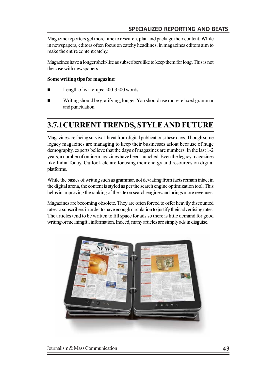Magazine reporters get more time to research, plan and package their content. While in newspapers, editors often focus on catchy headlines, in magazines editors aim to make the entire content catchy.

Magazines have a longer shelf-life as subscribers like to keep them for long. This is not the case with newspapers.

#### **Some writing tips for magazine:**

- Length of write-ups: 500-3500 words
- Writing should be gratifying, longer. You should use more relaxed grammar and punctuation.

## **3.7.1CURRENT TRENDS, STYLE AND FUTURE**

Magazines are facing survival threat from digital publications these days. Though some legacy magazines are managing to keep their businesses afloat because of huge demography, experts believe that the days of magazines are numbers. In the last 1-2 years, a number of online magazines have been launched. Even the legacy magazines like India Today, Outlook etc are focusing their energy and resources on digital platforms.

While the basics of writing such as grammar, not deviating from facts remain intact in the digital arena, the content is styled as per the search engine optimization tool. This helps in improving the ranking of the site on search engines and brings more revenues.

Magazines are becoming obsolete. They are often forced to offer heavily discounted rates to subscribers in order to have enough circulation to justify their advertising rates. The articles tend to be written to fill space for ads so there is little demand for good writing or meaningful information. Indeed, many articles are simply ads in disguise.

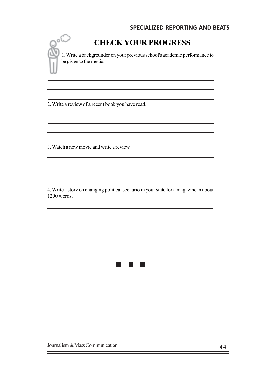## **CHECK YOUR PROGRESS**

1. Write a backgrounder on your previous school's academic performance to be given to the media.

2. Write a review of a recent book you have read.

3. Watch a new movie and write a review.

4. Write a story on changing political scenario in your state for a magazine in about 1200 words.

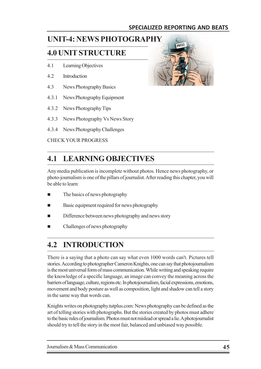### **SPECIALIZED REPORTING AND BEATS**

## **UNIT-4: NEWS PHOTOGRAPHY**

## **4.0 UNIT STRUCTURE**

- 4.1 Learning Objectives
- 4.2 Introduction
- 4.3 News Photography Basics
- 4.3.1 News Photography Equipment
- 4.3.2 News Photography Tips
- 4.3.3 News Photography Vs News Story
- 4.3.4 News Photography Challenges

### CHECK YOUR PROGRESS

## **4.1 LEARNING OBJECTIVES**

Any media publication is incomplete without photos. Hence news photography, or photo-journalism is one of the pillars of journalist. After reading this chapter, you will be able to learn:

- The basics of news photography
- Basic equipment required for news photography
- Difference between news photography and news story
- Challenges of news photography

## **4.2 INTRODUCTION**

There is a saying that a photo can say what even 1000 words can't. Pictures tell stories. According to photographer Cameron Knights, one can say that photojournalism is the most universal form of mass communication. While writing and speaking require the knowledge of a specific language, an image can convey the meaning across the barriers of language, culture, regions etc. In photojournalism, facial expressions, emotions, movement and body posture as well as composition, light and shadow can tell a story in the same way that words can.

Knights writes on photography.tutplus.com: News photography can be defined as the art of telling stories with photographs. But the stories created by photos must adhere to the basic rules of journalism. Photos must not mislead or spread a lie. A photojournalist should try to tell the story in the most fair, balanced and unbiased way possible.

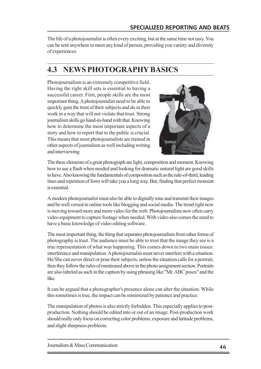The life of a photojournalist is often every exciting, but at the same time not easy. You can be sent anywhere to meet any kind of person, providing you variety and diversity of experiences.

## **4.3 NEWS PHOTOGRAPHY BASICS**

Photojournalism is an extremely competitive field. Having the right skill sets is essential to having a successful career. First, people skills are the most important thing. A photojournalist need to be able to quickly gain the trust of their subjects and do in their work in a way that will not violate that trust. Strong journalism skills go hand-in-hand with that. Knowing how to determine the most important aspects of a story and how to report that to the public is crucial. This means that most photojournalists are trained in other aspects of journalism as well including writing and interviewing.



The three elements of a great photograph are light, composition and moment. Knowing how to use a flash when needed and looking for dramatic natural light are good skills to have. Also knowing the fundamentals of composition such as the rule-of-third, leading lines and repetition of form will take you a long way. But, finding that perfect moment is essential.

A modern photojournalist must also be able to digitally tone and transmit their images and be well versed in online tools like blogging and social media. The trend right now is moving toward more and more video for the web. Photojournalists now often carry video equipment to capture footage when needed. With video also comes the need to have a basic knowledge of video editing software.

The most important thing, the thing that separates photojournalism from other forms of photography is trust. The audience must be able to trust that the image they see is a true representation of what was happening. This comes down to two main issues: interference and manipulation. A photojournalist must never interfere with a situation. He/She can never direct or pose their subjects, unless the situation calls for a portrait, then they follow the rules of mentioned above in the photo assignment section. Portraits are also labeled as such in the caption by using phrasing like "Mr. ABC poses" and the like.

It can be argued that a photographer's presence alone can alter the situation. While this sometimes is true, the impact can be minimized by patience and practice.

The manipulation of photos is also strictly forbidden. This especially applies to postproduction. Nothing should be edited into or out of an image. Post-production work should really only focus on correcting color problems, exposure and latitude problems, and slight sharpness problems.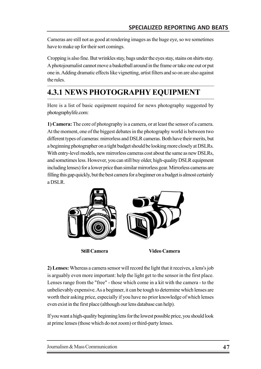Cameras are still not as good at rendering images as the huge eye, so we sometimes have to make up for their sort comings.

Cropping is also fine. But wrinkles stay, bags under the eyes stay, stains on shirts stay. A photojournalist cannot move a basketball around in the frame or take one out or put one in. Adding dramatic effects like vignetting, artist filters and so on are also against the rules.

## **4.3.1 NEWS PHOTOGRAPHY EQUIPMENT**

Here is a list of basic equipment required for news photography suggested by photographylife.com:

**1) Camera:** The core of photography is a camera, or at least the sensor of a camera. At the moment, one of the biggest debates in the photography world is between two different types of cameras: mirrorless and DSLR cameras. Both have their merits, but a beginning photographer on a tight budget should be looking more closely at DSLRs. With entry-level models, new mirrorless cameras cost about the same as new DSLRs, and sometimes less. However, you can still buy older, high-quality DSLR equipment including lenses) for a lower price than similar mirrorless gear. Mirrorless cameras are filling this gap quickly, but the best camera for a beginner on a budget is almost certainly a DSLR.



**Still Camera Video Camera** 

**2) Lenses:** Whereas a camera sensor will record the light that it receives, a lens's job is arguably even more important: help the light get to the sensor in the first place. Lenses range from the "free" - those which come in a kit with the camera - to the unbelievably expensive. As a beginner, it can be tough to determine which lenses are worth their asking price, especially if you have no prior knowledge of which lenses even exist in the first place (although our lens database can help).

If you want a high-quality beginning lens for the lowest possible price, you should look at prime lenses (those which do not zoom) or third-party lenses.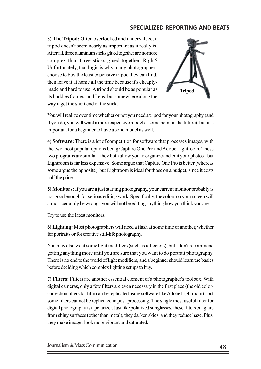**3) The Tripod:** Often overlooked and undervalued, a tripod doesn't seem nearly as important as it really is. After all, three aluminum sticks glued together are no more complex than three sticks glued together. Right? Unfortunately, that logic is why many photographers choose to buy the least expensive tripod they can find, then leave it at home all the time because it's cheaplymade and hard to use. A tripod should be as popular as its buddies Camera and Lens, but somewhere along the way it got the short end of the stick.



You will realize over time whether or not you need a tripod for your photography (and if you do, you will want a more expensive model at some point in the future), but it is important for a beginner to have a solid model as well.

**4) Software:** There is a lot of competition for software that processes images, with the two most popular options being Capture One Pro and Adobe Lightroom. These two programs are similar - they both allow you to organize and edit your photos - but Lightroom is far less expensive. Some argue that Capture One Pro is better (whereas some argue the opposite), but Lightroom is ideal for those on a budget, since it costs half the price.

**5) Monitors:** If you are a just starting photography, your current monitor probably is not good enough for serious editing work. Specifically, the colors on your screen will almost certainly be wrong - you will not be editing anything how you think you are.

Try to use the latest monitors.

**6) Lighting:** Most photographers will need a flash at some time or another, whether for portraits or for creative still-life photography.

You may also want some light modifiers (such as reflectors), but I don't recommend getting anything more until you are sure that you want to do portrait photography. There is no end to the world of light modifiers, and a beginner should learn the basics before deciding which complex lighting setups to buy.

**7) Filters:** Filters are another essential element of a photographer's toolbox. With digital cameras, only a few filters are even necessary in the first place (the old colorcorrection filters for film can be replicated using software like Adobe Lightroom) - but some filters cannot be replicated in post-processing. The single most useful filter for digital photography is a polarizer. Just like polarized sunglasses, these filters cut glare from shiny surfaces (other than metal), they darken skies, and they reduce haze. Plus, they make images look more vibrant and saturated.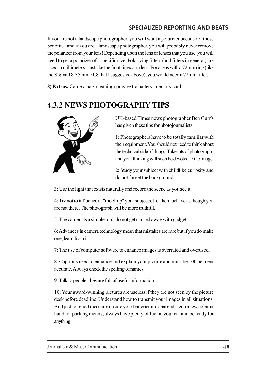If you are not a landscape photographer, you will want a polarizer because of these benefits - and if you are a landscape photographer, you will probably never remove the polarizer from your lens! Depending upon the lens or lenses that you use, you will need to get a polarizer of a specific size. Polarizing filters (and filters in general) are sized in millimeters - just like the front rings on a lens. For a lens with a 72mm ring (like the Sigma 18-35mm f/1.8 that I suggested above), you would need a 72mm filter.

**8) Extras:** Camera bag, cleaning spray, extra battery, memory card.

## **4.3.2 NEWS PHOTOGRAPHY TIPS**



UK-based Times news photographer Ben Gurr's has given these tips for photojournalists:

1: Photographers have to be totally familiar with their equipment. You should not need to think about the technical side of things. Take lots of photographs and your thinking will soon be devoted to the image.

2: Study your subject with childlike curiosity and do not forget the background.

3: Use the light that exists naturally and record the scene as you see it.

4: Try not to influence or "mock up" your subjects. Let them behave as though you are not there. The photograph will be more truthful.

5: The camera is a simple tool: do not get carried away with gadgets.

6: Advances in camera technology mean that mistakes are rare but if you do make one, learn from it.

7: The use of computer software to enhance images is overrated and overused.

8: Captions need to enhance and explain your picture and must be 100 per cent accurate. Always check the spelling of names.

9: Talk to people: they are full of useful information.

10: Your award-winning pictures are useless if they are not seen by the picture desk before deadline. Understand how to transmit your images in all situations. And just for good measure: ensure your batteries are charged, keep a few coins at hand for parking meters, always have plenty of fuel in your car and be ready for anything!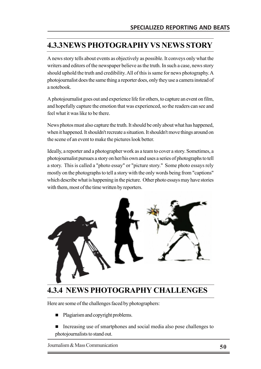## **4.3.3NEWS PHOTOGRAPHY VS NEWS STORY**

A news story tells about events as objectively as possible. It conveys only what the writers and editors of the newspaper believe as the truth. In such a case, news story should uphold the truth and credibility. All of this is same for news photography. A photojournalist does the same thing a reporter does, only they use a camera instead of a notebook.

A photojournalist goes out and experience life for others, to capture an event on film, and hopefully capture the emotion that was experienced, so the readers can see and feel what it was like to be there.

News photos must also capture the truth. It should be only about what has happened, when it happened. It shouldn't recreate a situation. It shouldn't move things around on the scene of an event to make the pictures look better.

Ideally, a reporter and a photographer work as a team to cover a story. Sometimes, a photojournalist pursues a story on her/his own and uses a series of photographs to tell a story. This is called a "photo essay" or "picture story." Some photo essays rely mostly on the photographs to tell a story with the only words being from "captions" which describe what is happening in the picture. Other photo essays may have stories with them, most of the time written by reporters.



## **4.3.4 NEWS PHOTOGRAPHY CHALLENGES**

Here are some of the challenges faced by photographers:

- Plagiarism and copyright problems.
- Increasing use of smartphones and social media also pose challenges to photojournalists to stand out.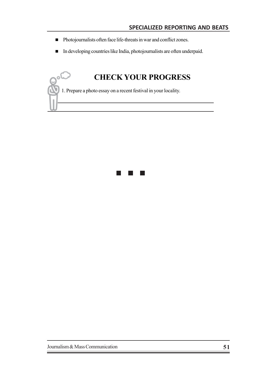- Photojournalists often face life-threats in war and conflict zones.
- In developing countries like India, photojournalists are often underpaid.



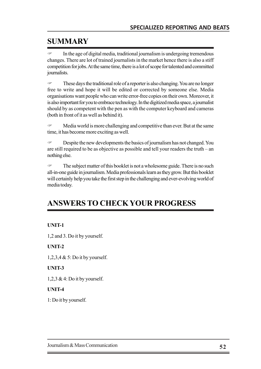## **SUMMARY**

 $\epsilon$  In the age of digital media, traditional journalism is undergoing tremendous changes. There are lot of trained journalists in the market hence there is also a stiff competition for jobs. At the same time, there is a lot of scope for talented and committed journalists.

 These days the traditional role of a reporter is also changing. You are no longer free to write and hope it will be edited or corrected by someone else. Media organisations want people who can write error-free copies on their own. Moreover, it is also important for you to embrace technology. In the digitized media space, a journalist should by as competent with the pen as with the computer keyboard and cameras (both in front of it as well as behind it).

 Media world is more challenging and competitive than ever. But at the same time, it has become more exciting as well.

 $\epsilon$  Despite the new developments the basics of journalism has not changed. You are still required to be as objective as possible and tell your readers the truth – an nothing else.

 The subject matter of this booklet is not a wholesome guide. There is no such all-in-one guide in journalism. Media professionals learn as they grow. But this booklet will certainly help you take the first step in the challenging and ever-evolving world of media today.

## **ANSWERS TO CHECK YOUR PROGRESS**

### **UNIT-1**

1,2 and 3. Do it by yourself.

### **UNIT-2**

1,2,3,4 & 5: Do it by yourself.

### **UNIT-3**

 $1,2,3 \& 4$ : Do it by yourself.

### **UNIT-4**

1: Do it by yourself.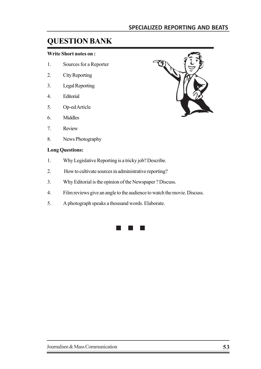## **QUESTION BANK**

#### **Write Short notes on :**

- 1. Sources for a Reporter
- 2. City Reporting
- 3. Legal Reporting
- 4. Editorial
- 5. Op-ed Article
- 6. Middles
- 7. Review
- 8. News Photography

#### **Long Questions:**

- 1. Why Legislative Reporting is a tricky job? Describe.
- 2. How to cultivate sources in administrative reporting?
- 3. Why Editorial is the opinion of the Newspaper ? Discuss.
- 4. Film reviews give an angle to the audience to watch the movie. Discuss.
- 5. A photograph speaks a thousand words. Elaborate.



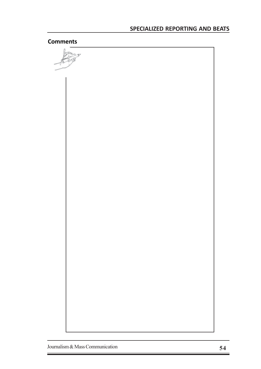### **Comments**